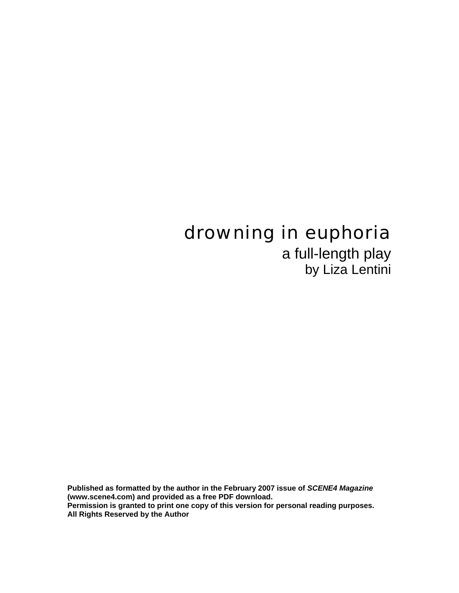# drowning in euphoria

a full-length play by Liza Lentini

**Published as formatted by the author in the February 2007 issue of** *SCENE4 Magazine* **(www.scene4.com) and provided as a free PDF download. Permission is granted to print one copy of this version for personal reading purposes. All Rights Reserved by the Author**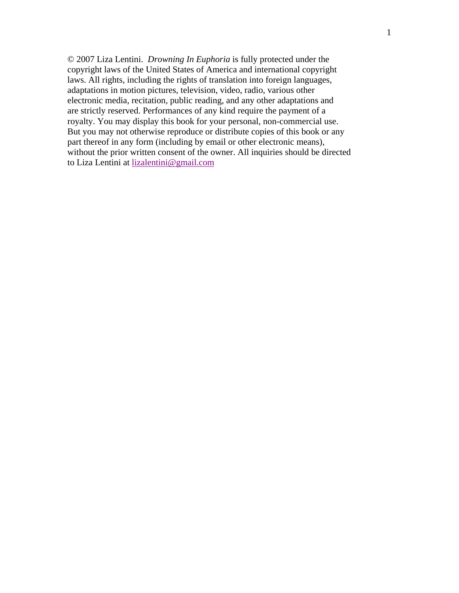© 2007 Liza Lentini. *Drowning In Euphoria* is fully protected under the copyright laws of the United States of America and international copyright laws. All rights, including the rights of translation into foreign languages, adaptations in motion pictures, television, video, radio, various other electronic media, recitation, public reading, and any other adaptations and are strictly reserved. Performances of any kind require the payment of a royalty. You may display this book for your personal, non-commercial use. But you may not otherwise reproduce or distribute copies of this book or any part thereof in any form (including by email or other electronic means), without the prior written consent of the owner. All inquiries should be directed to Liza Lentini at lizalentini@gmail.com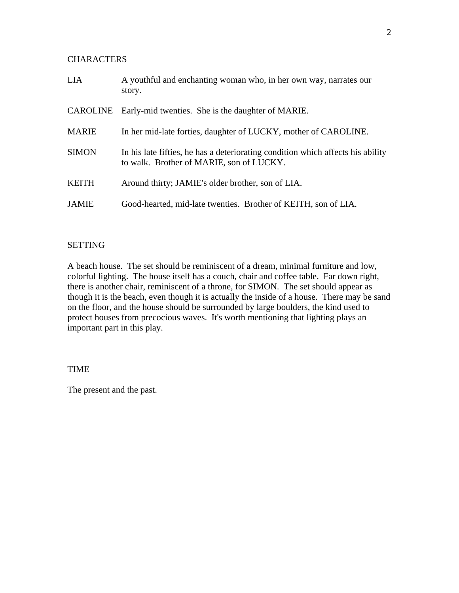# **CHARACTERS**

| <b>LIA</b>   | A youthful and enchanting woman who, in her own way, narrates our<br>story.                                                 |
|--------------|-----------------------------------------------------------------------------------------------------------------------------|
| CAROLINE     | Early-mid twenties. She is the daughter of MARIE.                                                                           |
| <b>MARIE</b> | In her mid-late forties, daughter of LUCKY, mother of CAROLINE.                                                             |
| <b>SIMON</b> | In his late fifties, he has a deteriorating condition which affects his ability<br>to walk. Brother of MARIE, son of LUCKY. |
| <b>KEITH</b> | Around thirty; JAMIE's older brother, son of LIA.                                                                           |
| <b>JAMIE</b> | Good-hearted, mid-late twenties. Brother of KEITH, son of LIA.                                                              |

# SETTING

A beach house. The set should be reminiscent of a dream, minimal furniture and low, colorful lighting. The house itself has a couch, chair and coffee table. Far down right, there is another chair, reminiscent of a throne, for SIMON. The set should appear as though it is the beach, even though it is actually the inside of a house. There may be sand on the floor, and the house should be surrounded by large boulders, the kind used to protect houses from precocious waves. It's worth mentioning that lighting plays an important part in this play.

# TIME

The present and the past.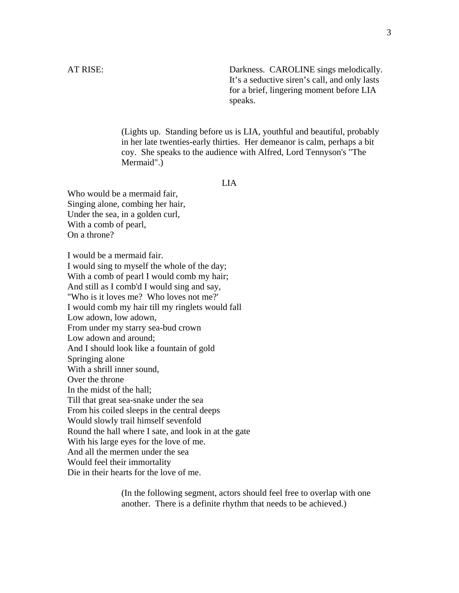AT RISE: Darkness. CAROLINE sings melodically. It's a seductive siren's call, and only lasts for a brief, lingering moment before LIA speaks.

> (Lights up. Standing before us is LIA, youthful and beautiful, probably in her late twenties-early thirties. Her demeanor is calm, perhaps a bit coy. She speaks to the audience with Alfred, Lord Tennyson's "The Mermaid".)

#### LIA

Who would be a mermaid fair, Singing alone, combing her hair, Under the sea, in a golden curl, With a comb of pearl, On a throne?

I would be a mermaid fair. I would sing to myself the whole of the day; With a comb of pearl I would comb my hair; And still as I comb'd I would sing and say, "Who is it loves me? Who loves not me?' I would comb my hair till my ringlets would fall Low adown, low adown, From under my starry sea-bud crown Low adown and around; And I should look like a fountain of gold Springing alone With a shrill inner sound, Over the throne In the midst of the hall; Till that great sea-snake under the sea From his coiled sleeps in the central deeps Would slowly trail himself sevenfold Round the hall where I sate, and look in at the gate With his large eyes for the love of me. And all the mermen under the sea Would feel their immortality Die in their hearts for the love of me.

> (In the following segment, actors should feel free to overlap with one another. There is a definite rhythm that needs to be achieved.)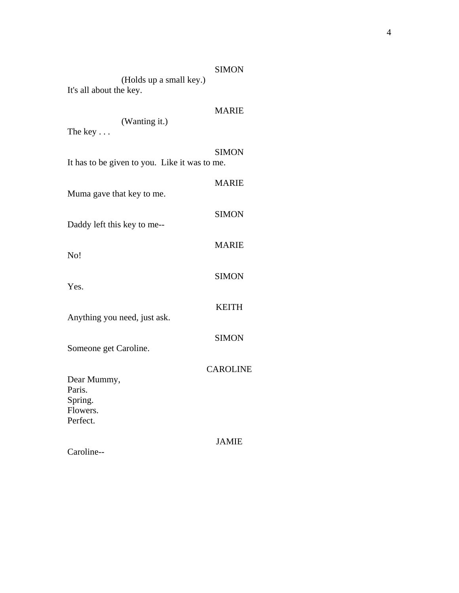| (Holds up a small key.)                                           | <b>SIMON</b>    |
|-------------------------------------------------------------------|-----------------|
| It's all about the key.<br>(Wanting it.)                          | <b>MARIE</b>    |
| The key $\ldots$<br>It has to be given to you. Like it was to me. | <b>SIMON</b>    |
| Muma gave that key to me.                                         | <b>MARIE</b>    |
| Daddy left this key to me--                                       | <b>SIMON</b>    |
| No!                                                               | <b>MARIE</b>    |
| Yes.                                                              | <b>SIMON</b>    |
| Anything you need, just ask.                                      | <b>KEITH</b>    |
| Someone get Caroline.                                             | <b>SIMON</b>    |
| Dear Mummy,<br>Paris.                                             | <b>CAROLINE</b> |
| Spring.<br>Flowers.<br>Perfect.                                   |                 |
| Caroline--                                                        | <b>JAMIE</b>    |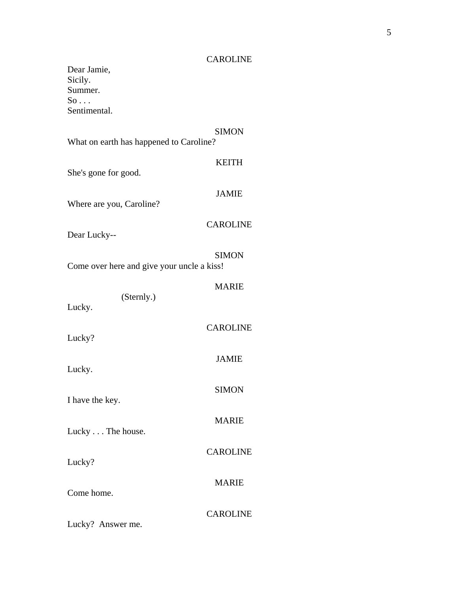# CAROLINE

Dear Jamie, Sicily. Summer.  $\mathrm{So} \dots$ Sentimental.

|                                            | <b>SIMON</b>    |
|--------------------------------------------|-----------------|
| What on earth has happened to Caroline?    |                 |
| She's gone for good.                       | <b>KEITH</b>    |
| Where are you, Caroline?                   | <b>JAMIE</b>    |
| Dear Lucky--                               | <b>CAROLINE</b> |
| Come over here and give your uncle a kiss! | <b>SIMON</b>    |
|                                            | <b>MARIE</b>    |
| (Sternly.)<br>Lucky.                       |                 |
| Lucky?                                     | <b>CAROLINE</b> |
| Lucky.                                     | <b>JAMIE</b>    |
| I have the key.                            | <b>SIMON</b>    |
| Lucky The house.                           | <b>MARIE</b>    |
| Lucky?                                     | <b>CAROLINE</b> |
|                                            | <b>MARIE</b>    |
| Come home.                                 | <b>CAROLINE</b> |
| Lucky? Answer me.                          |                 |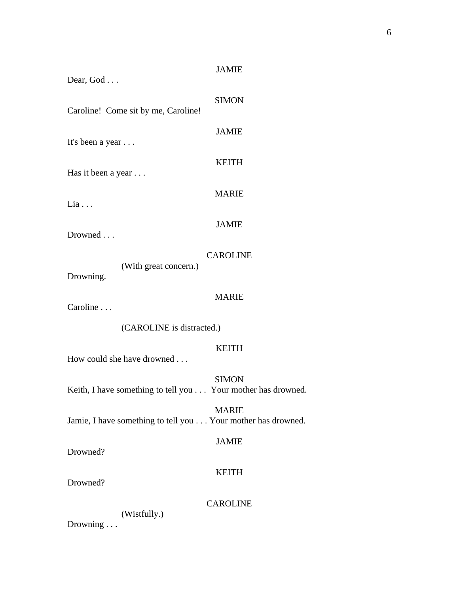| Dear, God                                                    | <b>JAMIE</b>    |  |
|--------------------------------------------------------------|-----------------|--|
| Caroline! Come sit by me, Caroline!                          | <b>SIMON</b>    |  |
| It's been a year                                             | <b>JAMIE</b>    |  |
| Has it been a year                                           | <b>KEITH</b>    |  |
|                                                              | <b>MARIE</b>    |  |
| Lia                                                          | <b>JAMIE</b>    |  |
| Drowned                                                      | <b>CAROLINE</b> |  |
| (With great concern.)<br>Drowning.                           |                 |  |
| Caroline                                                     | <b>MARIE</b>    |  |
| (CAROLINE is distracted.)                                    |                 |  |
| How could she have drowned                                   | <b>KEITH</b>    |  |
| Keith, I have something to tell you Your mother has drowned. | <b>SIMON</b>    |  |
| Jamie, I have something to tell you Your mother has drowned. | <b>MARIE</b>    |  |
| Drowned?                                                     | <b>JAMIE</b>    |  |
| Drowned?                                                     | <b>KEITH</b>    |  |
| (Wistfully.)<br>Drowning                                     | <b>CAROLINE</b> |  |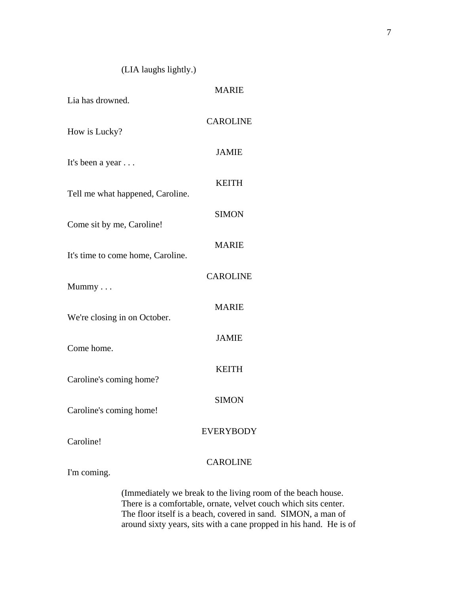# (LIA laughs lightly.)

| Lia has drowned.                  | <b>MARIE</b>                                                                                                                                                                             |
|-----------------------------------|------------------------------------------------------------------------------------------------------------------------------------------------------------------------------------------|
| How is Lucky?                     | <b>CAROLINE</b>                                                                                                                                                                          |
| It's been a year                  | <b>JAMIE</b>                                                                                                                                                                             |
| Tell me what happened, Caroline.  | <b>KEITH</b>                                                                                                                                                                             |
| Come sit by me, Caroline!         | <b>SIMON</b>                                                                                                                                                                             |
| It's time to come home, Caroline. | <b>MARIE</b>                                                                                                                                                                             |
| Mummy                             | <b>CAROLINE</b>                                                                                                                                                                          |
| We're closing in on October.      | <b>MARIE</b>                                                                                                                                                                             |
| Come home.                        | <b>JAMIE</b>                                                                                                                                                                             |
| Caroline's coming home?           | <b>KEITH</b>                                                                                                                                                                             |
| Caroline's coming home!           | <b>SIMON</b>                                                                                                                                                                             |
| Caroline!                         | <b>EVERYBODY</b>                                                                                                                                                                         |
| I'm coming.                       | <b>CAROLINE</b>                                                                                                                                                                          |
|                                   | (Immediately we break to the living room of the beach house.<br>There is a comfortable, ornate, velvet couch which sits center.<br>The flags itself is a heagh correspond in send. CIMON |

ouch which sits center. The floor itself is a beach, covered in sand. SIMON, a man of around sixty years, sits with a cane propped in his hand. He is of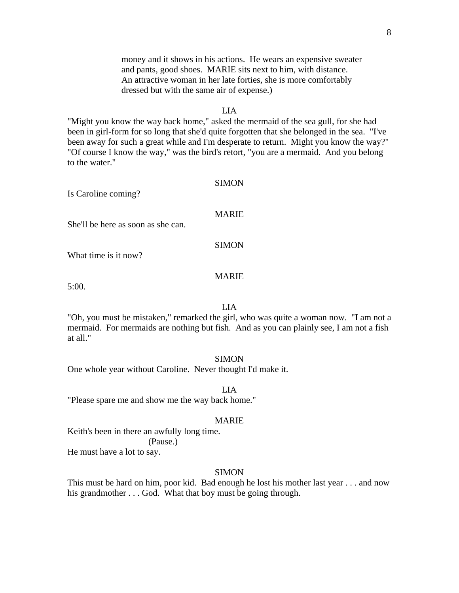money and it shows in his actions. He wears an expensive sweater and pants, good shoes. MARIE sits next to him, with distance. An attractive woman in her late forties, she is more comfortably dressed but with the same air of expense.)

# LIA

"Might you know the way back home," asked the mermaid of the sea gull, for she had been in girl-form for so long that she'd quite forgotten that she belonged in the sea. "I've been away for such a great while and I'm desperate to return. Might you know the way?" "Of course I know the way," was the bird's retort, "you are a mermaid. And you belong to the water."

#### SIMON

Is Caroline coming?

#### MARIE

She'll be here as soon as she can.

#### SIMON

What time is it now?

# MARIE

5:00.

# LIA

"Oh, you must be mistaken," remarked the girl, who was quite a woman now. "I am not a mermaid. For mermaids are nothing but fish. And as you can plainly see, I am not a fish at all."

#### SIMON

One whole year without Caroline. Never thought I'd make it.

LIA

"Please spare me and show me the way back home."

#### MARIE

Keith's been in there an awfully long time. (Pause.)

He must have a lot to say.

#### SIMON

This must be hard on him, poor kid. Bad enough he lost his mother last year . . . and now his grandmother . . . God. What that boy must be going through.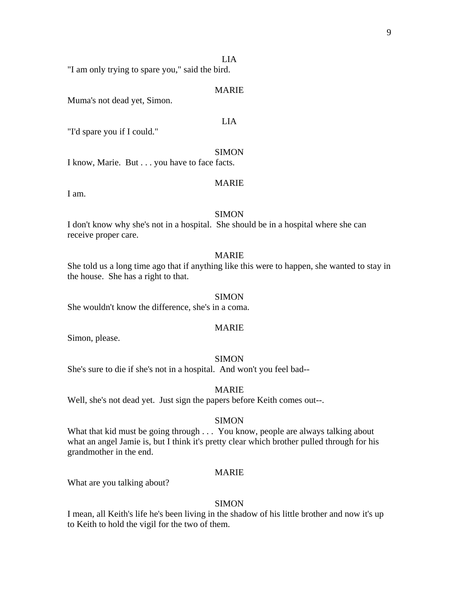#### LIA

"I am only trying to spare you," said the bird.

#### MARIE

Muma's not dead yet, Simon.

# LIA

"I'd spare you if I could."

#### SIMON

I know, Marie. But . . . you have to face facts.

# MARIE

I am.

#### SIMON

I don't know why she's not in a hospital. She should be in a hospital where she can receive proper care.

#### MARIE

She told us a long time ago that if anything like this were to happen, she wanted to stay in the house. She has a right to that.

#### SIMON

She wouldn't know the difference, she's in a coma.

#### MARIE

Simon, please.

# SIMON

She's sure to die if she's not in a hospital. And won't you feel bad--

#### MARIE

Well, she's not dead yet. Just sign the papers before Keith comes out--.

#### SIMON

What that kid must be going through . . . You know, people are always talking about what an angel Jamie is, but I think it's pretty clear which brother pulled through for his grandmother in the end.

#### MARIE

What are you talking about?

#### SIMON

I mean, all Keith's life he's been living in the shadow of his little brother and now it's up to Keith to hold the vigil for the two of them.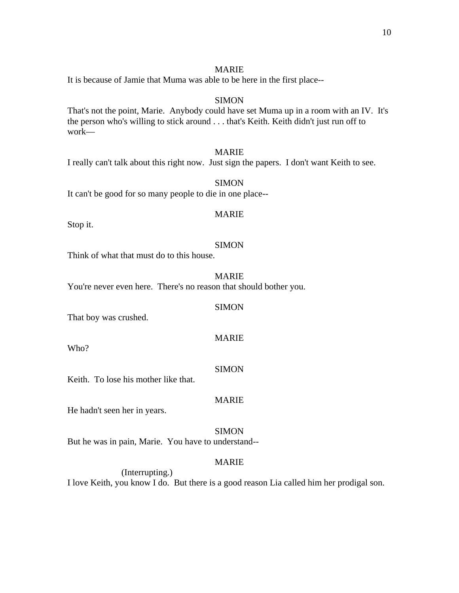# MARIE

It is because of Jamie that Muma was able to be here in the first place--

# **SIMON**

That's not the point, Marie. Anybody could have set Muma up in a room with an IV. It's the person who's willing to stick around . . . that's Keith. Keith didn't just run off to work—

# MARIE

I really can't talk about this right now. Just sign the papers. I don't want Keith to see.

SIMON

It can't be good for so many people to die in one place--

# MARIE

Stop it.

# **SIMON**

Think of what that must do to this house.

MARIE

You're never even here. There's no reason that should bother you.

#### **SIMON**

That boy was crushed.

Who?

# SIMON

MARIE

Keith. To lose his mother like that.

# MARIE

He hadn't seen her in years.

SIMON

But he was in pain, Marie. You have to understand--

# MARIE

 (Interrupting.) I love Keith, you know I do. But there is a good reason Lia called him her prodigal son.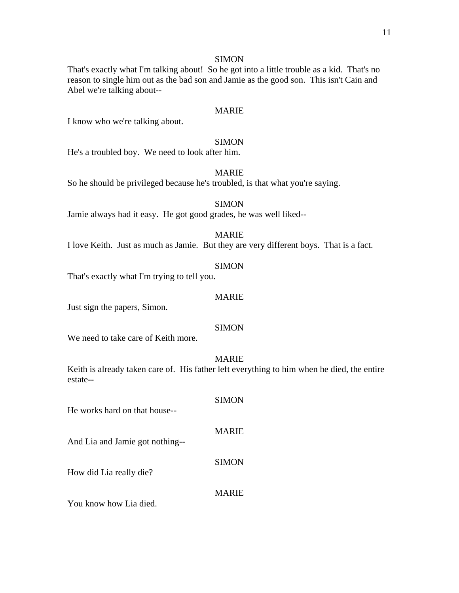That's exactly what I'm talking about! So he got into a little trouble as a kid. That's no reason to single him out as the bad son and Jamie as the good son. This isn't Cain and Abel we're talking about--

#### MARIE

I know who we're talking about.

# SIMON

He's a troubled boy. We need to look after him.

# MARIE

So he should be privileged because he's troubled, is that what you're saying.

# **SIMON**

Jamie always had it easy. He got good grades, he was well liked--

#### MARIE

I love Keith. Just as much as Jamie. But they are very different boys. That is a fact.

#### SIMON

That's exactly what I'm trying to tell you.

#### MARIE

Just sign the papers, Simon.

#### **SIMON**

We need to take care of Keith more.

# MARIE

Keith is already taken care of. His father left everything to him when he died, the entire estate--

| He works hard on that house--   | <b>SIMON</b> |
|---------------------------------|--------------|
| And Lia and Jamie got nothing-- | <b>MARIE</b> |
| How did Lia really die?         | <b>SIMON</b> |
|                                 | <b>MARIE</b> |

You know how Lia died.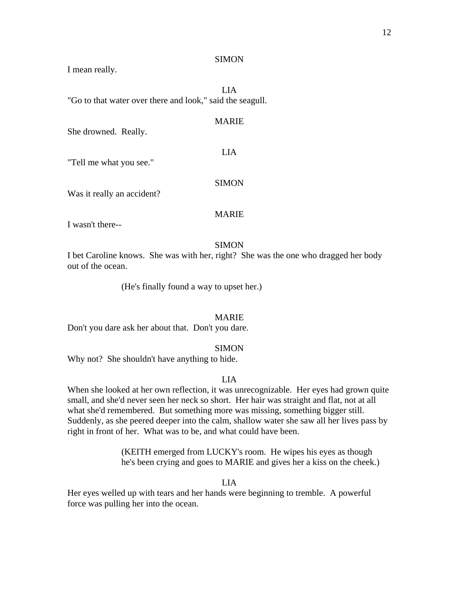I mean really.

LIA "Go to that water over there and look," said the seagull.

#### MARIE

LIA

She drowned. Really.

"Tell me what you see."

Was it really an accident?

#### MARIE

SIMON

I wasn't there--

#### SIMON

I bet Caroline knows. She was with her, right? She was the one who dragged her body out of the ocean.

(He's finally found a way to upset her.)

#### MARIE

Don't you dare ask her about that. Don't you dare.

#### **SIMON**

Why not? She shouldn't have anything to hide.

#### LIA

When she looked at her own reflection, it was unrecognizable. Her eyes had grown quite small, and she'd never seen her neck so short. Her hair was straight and flat, not at all what she'd remembered. But something more was missing, something bigger still. Suddenly, as she peered deeper into the calm, shallow water she saw all her lives pass by right in front of her. What was to be, and what could have been.

> (KEITH emerged from LUCKY's room. He wipes his eyes as though he's been crying and goes to MARIE and gives her a kiss on the cheek.)

> > LIA

Her eyes welled up with tears and her hands were beginning to tremble. A powerful force was pulling her into the ocean.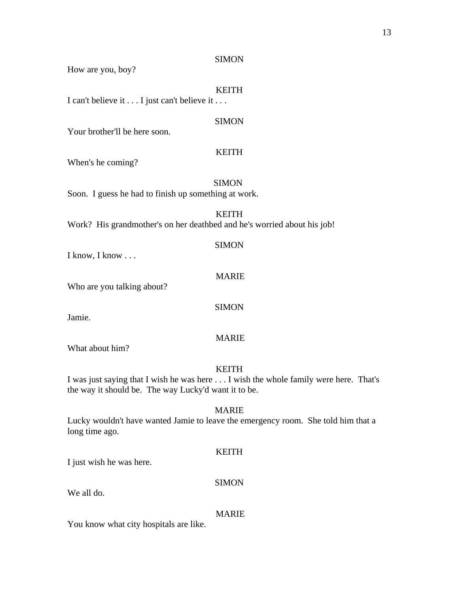How are you, boy?

# KEITH

I can't believe it . . . I just can't believe it . . .

# SIMON

Your brother'll be here soon.

# KEITH

When's he coming?

SIMON

Soon. I guess he had to finish up something at work.

# KEITH

Work? His grandmother's on her deathbed and he's worried about his job!

#### SIMON

I know, I know . . .

# MARIE

**SIMON** 

MARIE

Who are you talking about?

Jamie.

What about him?

# KEITH

I was just saying that I wish he was here . . . I wish the whole family were here. That's the way it should be. The way Lucky'd want it to be.

# MARIE

Lucky wouldn't have wanted Jamie to leave the emergency room. She told him that a long time ago.

#### KEITH

SIMON

I just wish he was here.

We all do.

#### MARIE

You know what city hospitals are like.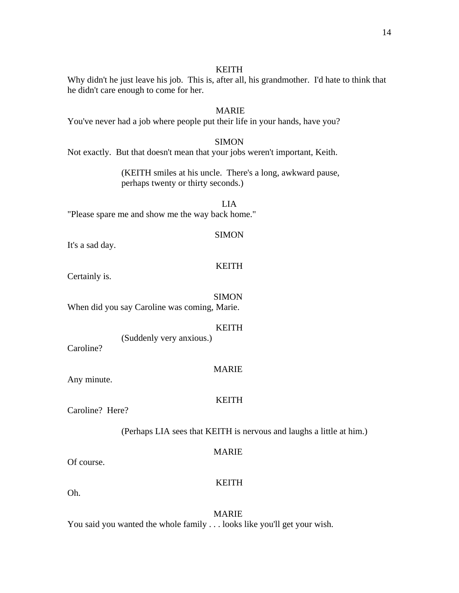#### KEITH

Why didn't he just leave his job. This is, after all, his grandmother. I'd hate to think that he didn't care enough to come for her.

# MARIE

You've never had a job where people put their life in your hands, have you?

# **SIMON**

Not exactly. But that doesn't mean that your jobs weren't important, Keith.

 (KEITH smiles at his uncle. There's a long, awkward pause, perhaps twenty or thirty seconds.)

LIA "Please spare me and show me the way back home."

#### SIMON

It's a sad day.

#### KEITH

Certainly is.

**SIMON** 

When did you say Caroline was coming, Marie.

#### KEITH

(Suddenly very anxious.)

Caroline?

#### MARIE

KEITH

Any minute.

Caroline? Here?

(Perhaps LIA sees that KEITH is nervous and laughs a little at him.)

#### MARIE

KEITH

Of course.

Oh.

 MARIE You said you wanted the whole family . . . looks like you'll get your wish.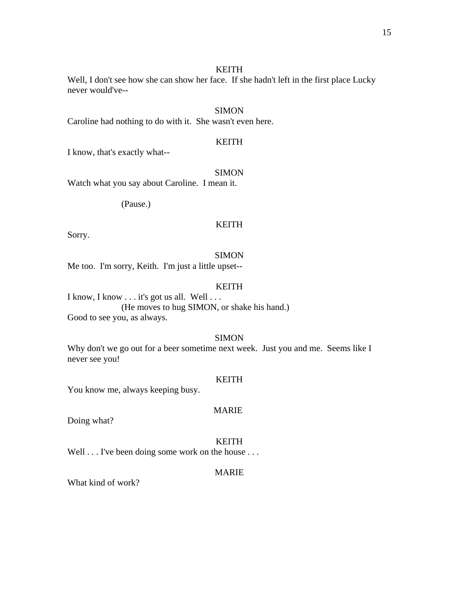#### KEITH

Well, I don't see how she can show her face. If she hadn't left in the first place Lucky never would've--

# SIMON

Caroline had nothing to do with it. She wasn't even here.

# KEITH

I know, that's exactly what--

# SIMON

Watch what you say about Caroline. I mean it.

(Pause.)

# KEITH

Sorry.

#### **SIMON**

Me too. I'm sorry, Keith. I'm just a little upset--

#### KEITH

I know, I know . . . it's got us all. Well . . . (He moves to hug SIMON, or shake his hand.) Good to see you, as always.

# **SIMON**

Why don't we go out for a beer sometime next week. Just you and me. Seems like I never see you!

#### KEITH

You know me, always keeping busy.

#### MARIE

Doing what?

#### KEITH

Well . . . I've been doing some work on the house . . .

# MARIE

What kind of work?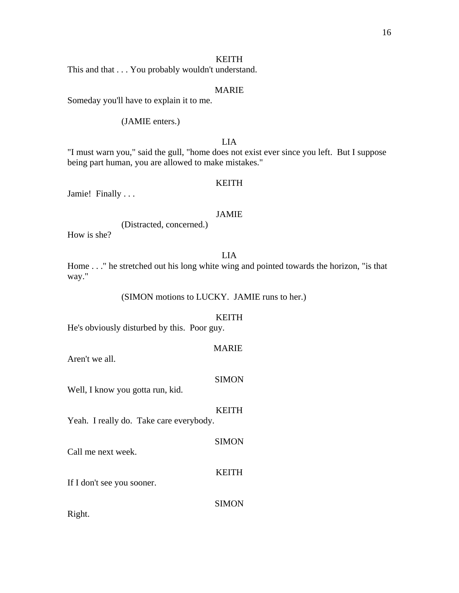# KEITH

This and that . . . You probably wouldn't understand.

# MARIE

Someday you'll have to explain it to me.

# (JAMIE enters.)

# LIA

"I must warn you," said the gull, "home does not exist ever since you left. But I suppose being part human, you are allowed to make mistakes."

#### KEITH

Jamie! Finally . . .

# JAMIE

(Distracted, concerned.)

How is she?

# LIA

Home . . ." he stretched out his long white wing and pointed towards the horizon, "is that way."

(SIMON motions to LUCKY. JAMIE runs to her.)

# KEITH

He's obviously disturbed by this. Poor guy.

# MARIE

Aren't we all.

#### **SIMON**

Well, I know you gotta run, kid.

# KEITH

**SIMON** 

Yeah. I really do. Take care everybody.

Call me next week.

#### KEITH

If I don't see you sooner.

**SIMON** 

Right.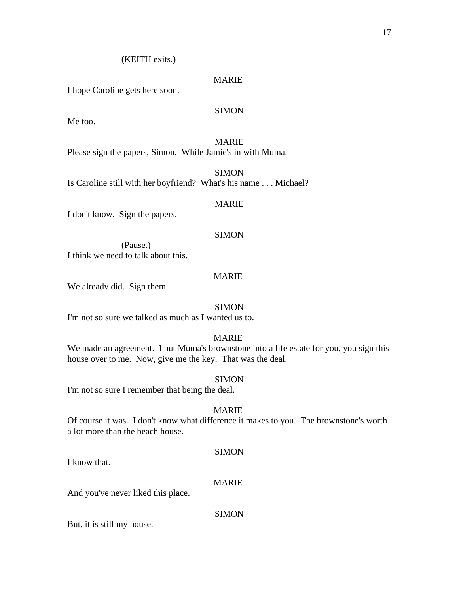# (KEITH exits.)

# MARIE

I hope Caroline gets here soon.

# SIMON

Me too.

# MARIE

Please sign the papers, Simon. While Jamie's in with Muma.

**SIMON** 

Is Caroline still with her boyfriend? What's his name . . . Michael?

#### MARIE

I don't know. Sign the papers.

# SIMON

 (Pause.) I think we need to talk about this.

# MARIE

We already did. Sign them.

#### **SIMON**

I'm not so sure we talked as much as I wanted us to.

# MARIE

We made an agreement. I put Muma's brownstone into a life estate for you, you sign this house over to me. Now, give me the key. That was the deal.

#### **SIMON**

I'm not so sure I remember that being the deal.

# MARIE

Of course it was. I don't know what difference it makes to you. The brownstone's worth a lot more than the beach house.

# **SIMON**

I know that.

# MARIE

And you've never liked this place.

# **SIMON**

But, it is still my house.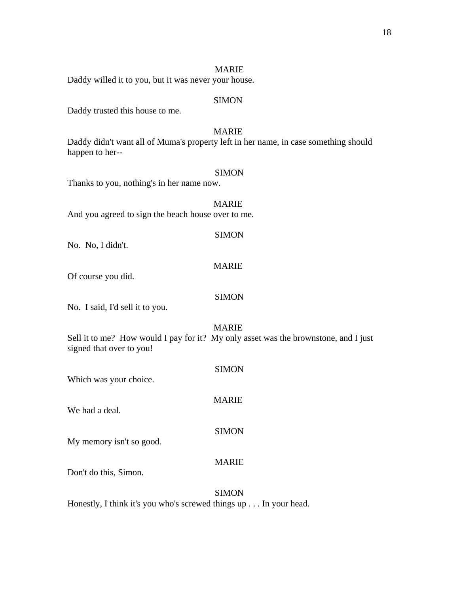# MARIE

Daddy willed it to you, but it was never your house.

# **SIMON**

Daddy trusted this house to me.

# MARIE

Daddy didn't want all of Muma's property left in her name, in case something should happen to her--

#### SIMON

Thanks to you, nothing's in her name now.

# MARIE And you agreed to sign the beach house over to me.

No. No, I didn't.

#### MARIE

SIMON

Of course you did.

# SIMON

No. I said, I'd sell it to you.

# MARIE

Sell it to me? How would I pay for it? My only asset was the brownstone, and I just signed that over to you!

| Which was your choice.   | <b>SIMON</b> |
|--------------------------|--------------|
| We had a deal.           | <b>MARIE</b> |
| My memory isn't so good. | <b>SIMON</b> |
| Don't do this, Simon.    | <b>MARIE</b> |

#### **SIMON**

Honestly, I think it's you who's screwed things up . . . In your head.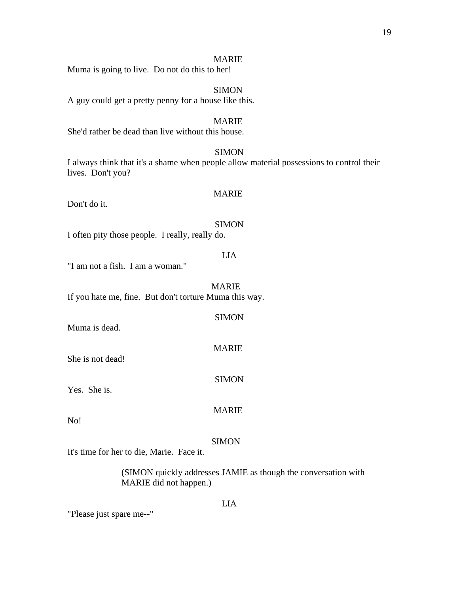#### MARIE

Muma is going to live. Do not do this to her!

 SIMON A guy could get a pretty penny for a house like this.

#### MARIE

She'd rather be dead than live without this house.

# **SIMON**

I always think that it's a shame when people allow material possessions to control their lives. Don't you?

# MARIE

Don't do it.

#### **SIMON**

I often pity those people. I really, really do.

# LIA

"I am not a fish. I am a woman."

 MARIE If you hate me, fine. But don't torture Muma this way.

| Muma is dead.    | <b>SIMON</b> |
|------------------|--------------|
| She is not dead! | <b>MARIE</b> |
| Yes. She is.     | <b>SIMON</b> |

No!

#### **SIMON**

MARIE

It's time for her to die, Marie. Face it.

 (SIMON quickly addresses JAMIE as though the conversation with MARIE did not happen.)

# "Please just spare me--"

#### LIA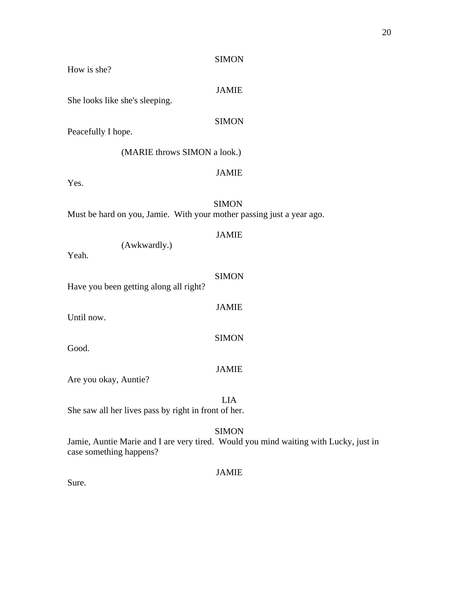How is she?

JAMIE

She looks like she's sleeping.

SIMON

Peacefully I hope.

(MARIE throws SIMON a look.)

JAMIE

Yes.

 SIMON Must be hard on you, Jamie. With your mother passing just a year ago.

# JAMIE

(Awkwardly.)

Yeah.

| Have you been getting along all right? | <b>SIMON</b> |
|----------------------------------------|--------------|
| Until now.                             | <b>JAMIE</b> |
| Good.                                  | <b>SIMON</b> |
| Are you okay, Auntie?                  | <b>JAMIE</b> |
|                                        | LIA          |

She saw all her lives pass by right in front of her.

# SIMON

Jamie, Auntie Marie and I are very tired. Would you mind waiting with Lucky, just in case something happens?

# JAMIE

Sure.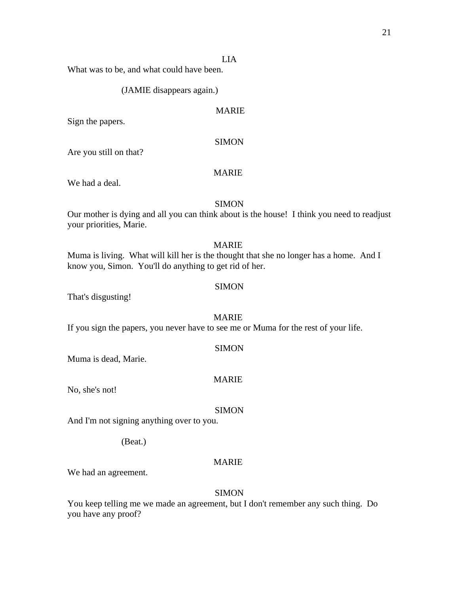#### LIA

What was to be, and what could have been.

#### (JAMIE disappears again.)

# MARIE

Sign the papers.

#### **SIMON**

Are you still on that?

# MARIE

We had a deal.

### SIMON

Our mother is dying and all you can think about is the house! I think you need to readjust your priorities, Marie.

#### MARIE

Muma is living. What will kill her is the thought that she no longer has a home. And I know you, Simon. You'll do anything to get rid of her.

#### SIMON

That's disgusting!

#### MARIE

If you sign the papers, you never have to see me or Muma for the rest of your life.

#### **SIMON**

Muma is dead, Marie.

# MARIE

No, she's not!

#### **SIMON**

And I'm not signing anything over to you.

(Beat.)

# MARIE

We had an agreement.

#### **SIMON**

You keep telling me we made an agreement, but I don't remember any such thing. Do you have any proof?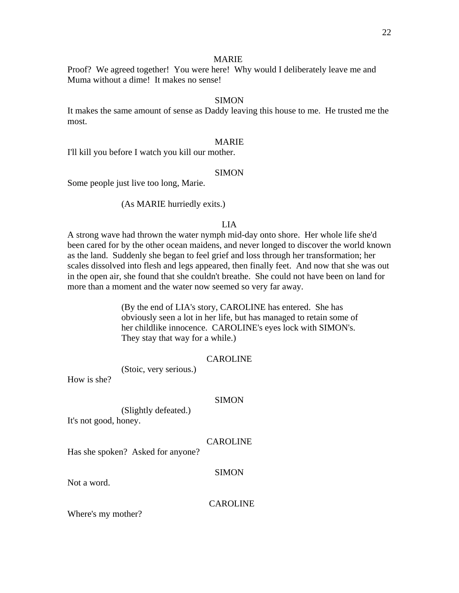#### MARIE

Proof? We agreed together! You were here! Why would I deliberately leave me and Muma without a dime! It makes no sense!

# **SIMON**

It makes the same amount of sense as Daddy leaving this house to me. He trusted me the most.

# MARIE

I'll kill you before I watch you kill our mother.

# SIMON

Some people just live too long, Marie.

### (As MARIE hurriedly exits.)

# LIA

A strong wave had thrown the water nymph mid-day onto shore. Her whole life she'd been cared for by the other ocean maidens, and never longed to discover the world known as the land. Suddenly she began to feel grief and loss through her transformation; her scales dissolved into flesh and legs appeared, then finally feet. And now that she was out in the open air, she found that she couldn't breathe. She could not have been on land for more than a moment and the water now seemed so very far away.

> (By the end of LIA's story, CAROLINE has entered. She has obviously seen a lot in her life, but has managed to retain some of her childlike innocence. CAROLINE's eyes lock with SIMON's. They stay that way for a while.)

#### CAROLINE

(Stoic, very serious.)

How is she?

#### SIMON

(Slightly defeated.)

It's not good, honey.

#### CAROLINE

Has she spoken? Asked for anyone?

#### SIMON

Not a word.

**CAROLINE** 

Where's my mother?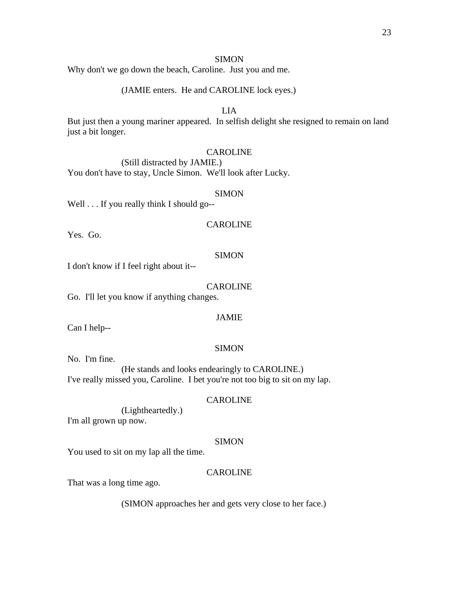Why don't we go down the beach, Caroline. Just you and me.

# (JAMIE enters. He and CAROLINE lock eyes.)

# LIA

But just then a young mariner appeared. In selfish delight she resigned to remain on land just a bit longer.

#### CAROLINE

 (Still distracted by JAMIE.) You don't have to stay, Uncle Simon. We'll look after Lucky.

#### SIMON

Well . . . If you really think I should go--

#### CAROLINE

Yes. Go.

# **SIMON**

I don't know if I feel right about it--

#### CAROLINE

Go. I'll let you know if anything changes.

#### JAMIE

Can I help--

#### SIMON

No. I'm fine.

 (He stands and looks endearingly to CAROLINE.) I've really missed you, Caroline. I bet you're not too big to sit on my lap.

# CAROLINE

(Lightheartedly.)

I'm all grown up now.

#### **SIMON**

You used to sit on my lap all the time.

#### CAROLINE

That was a long time ago.

#### (SIMON approaches her and gets very close to her face.)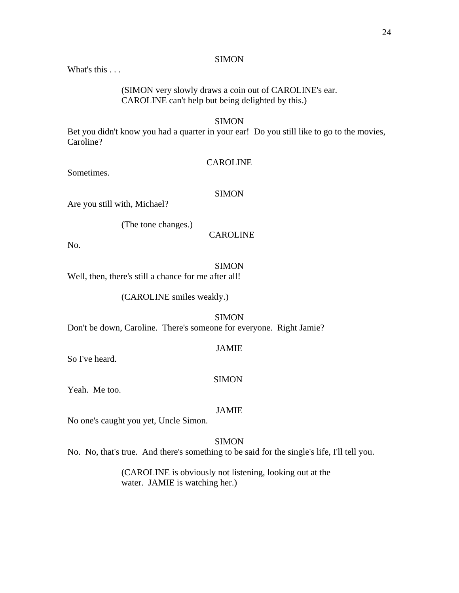What's this . . .

 (SIMON very slowly draws a coin out of CAROLINE's ear. CAROLINE can't help but being delighted by this.)

#### **SIMON**

Bet you didn't know you had a quarter in your ear! Do you still like to go to the movies, Caroline?

# CAROLINE

Sometimes.

# **SIMON**

Are you still with, Michael?

(The tone changes.)

#### CAROLINE

No.

# SIMON

Well, then, there's still a chance for me after all!

(CAROLINE smiles weakly.)

# SIMON Don't be down, Caroline. There's someone for everyone. Right Jamie?

JAMIE

So I've heard.

#### **SIMON**

Yeah. Me too.

#### JAMIE

No one's caught you yet, Uncle Simon.

# **SIMON**

No. No, that's true. And there's something to be said for the single's life, I'll tell you.

 (CAROLINE is obviously not listening, looking out at the water. JAMIE is watching her.)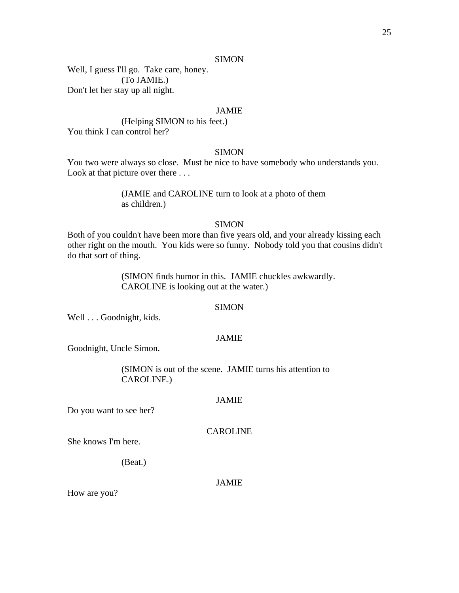Well, I guess I'll go. Take care, honey. (To JAMIE.) Don't let her stay up all night.

# JAMIE

 (Helping SIMON to his feet.) You think I can control her?

# **SIMON**

You two were always so close. Must be nice to have somebody who understands you. Look at that picture over there . . .

# (JAMIE and CAROLINE turn to look at a photo of them as children.)

# **SIMON**

Both of you couldn't have been more than five years old, and your already kissing each other right on the mouth. You kids were so funny. Nobody told you that cousins didn't do that sort of thing.

> (SIMON finds humor in this. JAMIE chuckles awkwardly. CAROLINE is looking out at the water.)

#### **SIMON**

Well . . . Goodnight, kids.

# JAMIE

Goodnight, Uncle Simon.

 (SIMON is out of the scene. JAMIE turns his attention to CAROLINE.)

#### JAMIE

Do you want to see her?

#### CAROLINE

She knows I'm here.

(Beat.)

# JAMIE

How are you?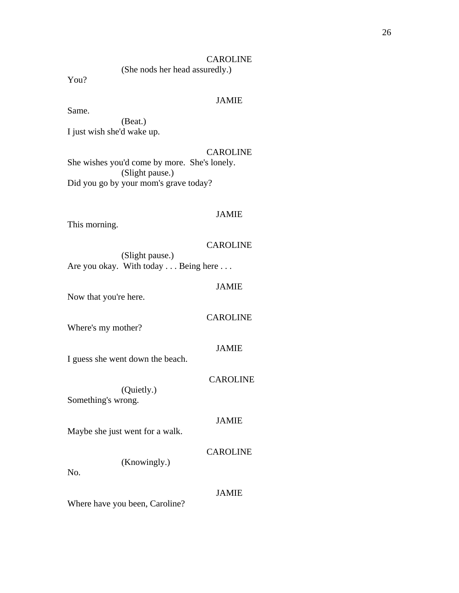# CAROLINE

(She nods her head assuredly.)

You?

# JAMIE

Same. (Beat.) I just wish she'd wake up.

# CAROLINE

She wishes you'd come by more. She's lonely. (Slight pause.) Did you go by your mom's grave today?

# JAMIE

This morning.

# CAROLINE

 (Slight pause.) Are you okay. With today . . . Being here . . .

#### JAMIE

Now that you're here.

#### CAROLINE

Where's my mother?

#### JAMIE

I guess she went down the beach.

# CAROLINE

 (Quietly.) Something's wrong.

#### JAMIE

Maybe she just went for a walk.

# CAROLINE

(Knowingly.)

No.

#### JAMIE

Where have you been, Caroline?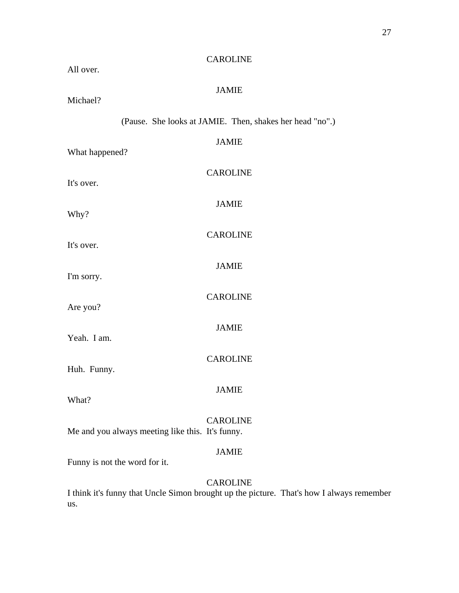| <b>CAROLINE</b><br>All over.                                                                                |
|-------------------------------------------------------------------------------------------------------------|
| <b>JAMIE</b><br>Michael?                                                                                    |
| (Pause. She looks at JAMIE. Then, shakes her head "no".)                                                    |
| <b>JAMIE</b><br>What happened?                                                                              |
| <b>CAROLINE</b><br>It's over.                                                                               |
| <b>JAMIE</b><br>Why?                                                                                        |
| <b>CAROLINE</b><br>It's over.                                                                               |
| <b>JAMIE</b><br>I'm sorry.                                                                                  |
| <b>CAROLINE</b><br>Are you?                                                                                 |
| <b>JAMIE</b>                                                                                                |
| Yeah. I am.<br><b>CAROLINE</b>                                                                              |
| Huh. Funny.<br>JAMIE                                                                                        |
| What?                                                                                                       |
| <b>CAROLINE</b><br>Me and you always meeting like this. It's funny.                                         |
| <b>JAMIE</b><br>Funny is not the word for it.                                                               |
| <b>CAROLINE</b><br>I think it's funny that Uncle Simon brought up the picture. That's how I always remember |

us.

27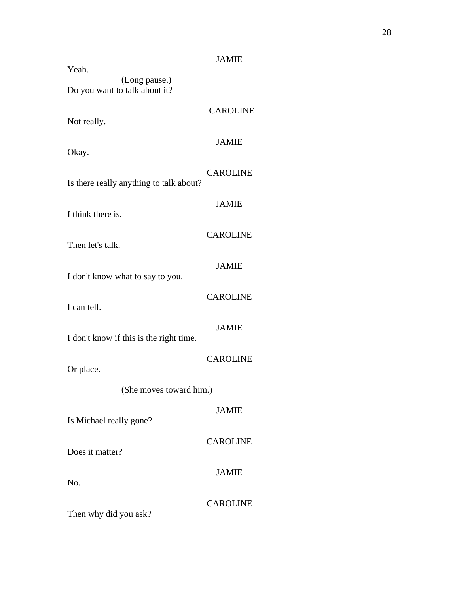|                                         | <b>JAMIE</b>    |
|-----------------------------------------|-----------------|
| Yeah.<br>(Long pause.)                  |                 |
| Do you want to talk about it?           |                 |
| Not really.                             | <b>CAROLINE</b> |
| Okay.                                   | <b>JAMIE</b>    |
| Is there really anything to talk about? | <b>CAROLINE</b> |
| I think there is.                       | <b>JAMIE</b>    |
| Then let's talk.                        | <b>CAROLINE</b> |
| I don't know what to say to you.        | <b>JAMIE</b>    |
| I can tell.                             | <b>CAROLINE</b> |
| I don't know if this is the right time. | <b>JAMIE</b>    |
| Or place.                               | <b>CAROLINE</b> |
| (She moves toward him.)                 |                 |
| Is Michael really gone?                 | <b>JAMIE</b>    |
| Does it matter?                         | <b>CAROLINE</b> |
| No.                                     | <b>JAMIE</b>    |
| Then why did you ask?                   | <b>CAROLINE</b> |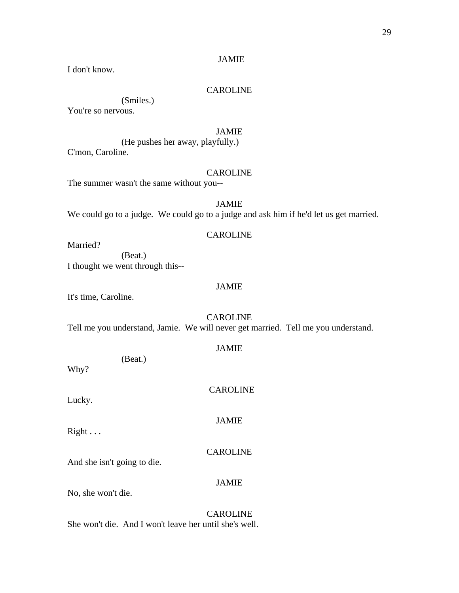# JAMIE

I don't know.

# CAROLINE

(Smiles.)

You're so nervous.

# JAMIE

 (He pushes her away, playfully.) C'mon, Caroline.

# CAROLINE

The summer wasn't the same without you--

# JAMIE We could go to a judge. We could go to a judge and ask him if he'd let us get married.

# CAROLINE

Married?

 (Beat.) I thought we went through this--

#### JAMIE

JAMIE

It's time, Caroline.

CAROLINE Tell me you understand, Jamie. We will never get married. Tell me you understand.

| (Beat.)<br>Why?             | JANIL           |
|-----------------------------|-----------------|
| Lucky.                      | <b>CAROLINE</b> |
| $Right \ldots$              | <b>JAMIE</b>    |
| And she isn't going to die. | <b>CAROLINE</b> |
| No, she won't die.          | <b>JAMIE</b>    |

 CAROLINE She won't die. And I won't leave her until she's well.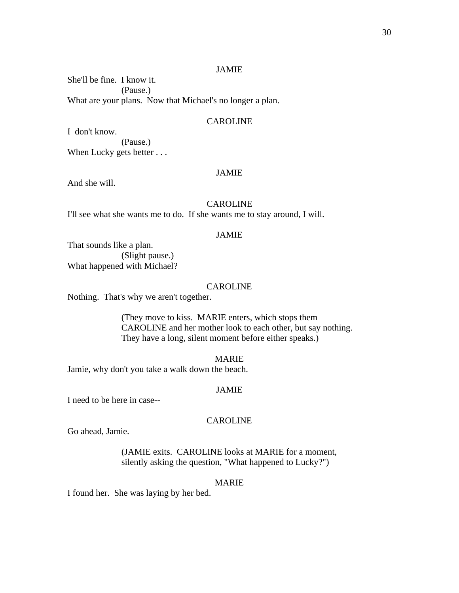#### JAMIE

She'll be fine. I know it. (Pause.) What are your plans. Now that Michael's no longer a plan.

# CAROLINE

I don't know. (Pause.) When Lucky gets better . . .

# JAMIE

And she will.

#### CAROLINE

I'll see what she wants me to do. If she wants me to stay around, I will.

# JAMIE

That sounds like a plan. (Slight pause.) What happened with Michael?

#### **CAROLINE**

Nothing. That's why we aren't together.

 (They move to kiss. MARIE enters, which stops them CAROLINE and her mother look to each other, but say nothing. They have a long, silent moment before either speaks.)

#### MARIE

Jamie, why don't you take a walk down the beach.

#### JAMIE

I need to be here in case--

#### CAROLINE

Go ahead, Jamie.

 (JAMIE exits. CAROLINE looks at MARIE for a moment, silently asking the question, "What happened to Lucky?")

#### MARIE

I found her. She was laying by her bed.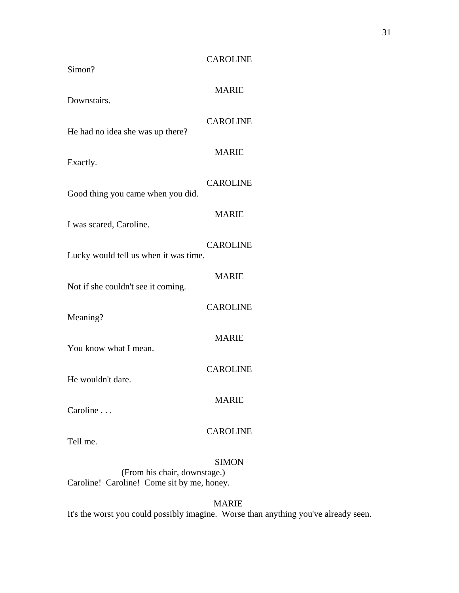| <b>CAROLINE</b>                                          |
|----------------------------------------------------------|
| <b>MARIE</b>                                             |
| <b>CAROLINE</b>                                          |
| <b>MARIE</b>                                             |
| <b>CAROLINE</b>                                          |
| <b>MARIE</b>                                             |
| <b>CAROLINE</b><br>Lucky would tell us when it was time. |
| <b>MARIE</b>                                             |
| <b>CAROLINE</b>                                          |
| <b>MARIE</b>                                             |
| <b>CAROLINE</b>                                          |
| <b>MARIE</b>                                             |
| <b>CAROLINE</b>                                          |
| <b>SIMON</b>                                             |
|                                                          |

 (From his chair, downstage.) Caroline! Caroline! Come sit by me, honey.

MARIE

It's the worst you could possibly imagine. Worse than anything you've already seen.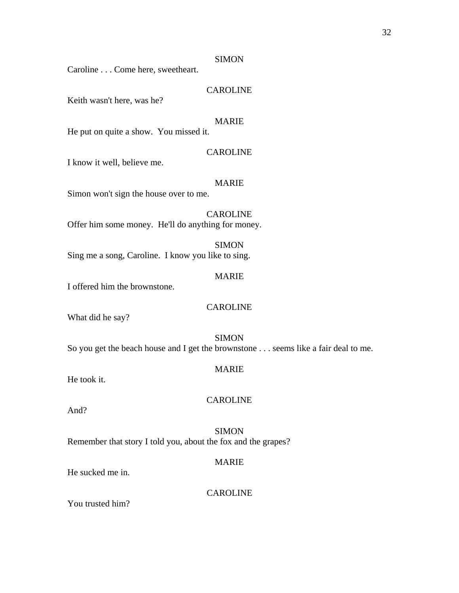Caroline . . . Come here, sweetheart.

# CAROLINE

Keith wasn't here, was he?

# MARIE

He put on quite a show. You missed it.

#### CAROLINE

I know it well, believe me.

#### MARIE

Simon won't sign the house over to me.

CAROLINE Offer him some money. He'll do anything for money.

**SIMON** Sing me a song, Caroline. I know you like to sing.

# MARIE

I offered him the brownstone.

#### CAROLINE

What did he say?

# SIMON So you get the beach house and I get the brownstone . . . seems like a fair deal to me.

#### MARIE

He took it.

# CAROLINE

And?

**SIMON** Remember that story I told you, about the fox and the grapes?

# MARIE

He sucked me in.

#### CAROLINE

You trusted him?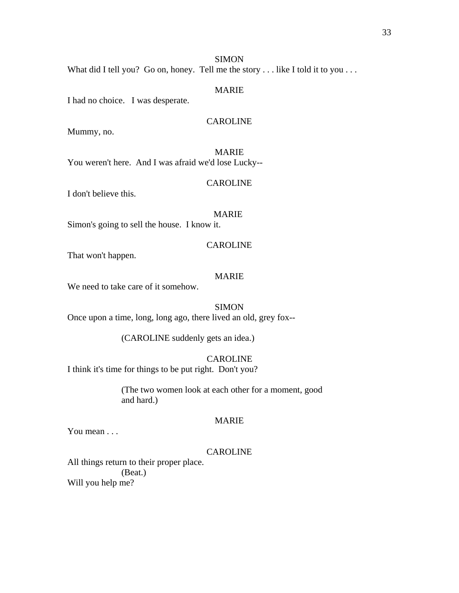# MARIE

I had no choice. I was desperate.

# CAROLINE

Mummy, no.

MARIE You weren't here. And I was afraid we'd lose Lucky--

#### CAROLINE

I don't believe this.

# MARIE

Simon's going to sell the house. I know it.

#### CAROLINE

That won't happen.

# MARIE

We need to take care of it somehow.

#### SIMON

Once upon a time, long, long ago, there lived an old, grey fox--

(CAROLINE suddenly gets an idea.)

# CAROLINE

I think it's time for things to be put right. Don't you?

 (The two women look at each other for a moment, good and hard.)

#### MARIE

You mean . . .

#### CAROLINE

All things return to their proper place. (Beat.) Will you help me?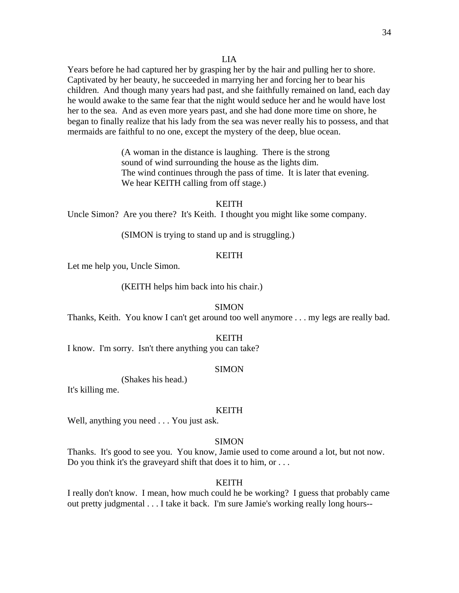#### LIA

Years before he had captured her by grasping her by the hair and pulling her to shore. Captivated by her beauty, he succeeded in marrying her and forcing her to bear his children. And though many years had past, and she faithfully remained on land, each day he would awake to the same fear that the night would seduce her and he would have lost her to the sea. And as even more years past, and she had done more time on shore, he began to finally realize that his lady from the sea was never really his to possess, and that mermaids are faithful to no one, except the mystery of the deep, blue ocean.

> (A woman in the distance is laughing. There is the strong sound of wind surrounding the house as the lights dim. The wind continues through the pass of time. It is later that evening. We hear KEITH calling from off stage.)

#### **KEITH**

Uncle Simon? Are you there? It's Keith. I thought you might like some company.

(SIMON is trying to stand up and is struggling.)

#### **KEITH**

Let me help you, Uncle Simon.

(KEITH helps him back into his chair.)

#### **SIMON**

Thanks, Keith. You know I can't get around too well anymore . . . my legs are really bad.

#### KEITH

I know. I'm sorry. Isn't there anything you can take?

#### SIMON

(Shakes his head.)

It's killing me.

#### KEITH

Well, anything you need . . . You just ask.

#### **SIMON**

Thanks. It's good to see you. You know, Jamie used to come around a lot, but not now. Do you think it's the graveyard shift that does it to him, or ...

#### KEITH

I really don't know. I mean, how much could he be working? I guess that probably came out pretty judgmental . . . I take it back. I'm sure Jamie's working really long hours--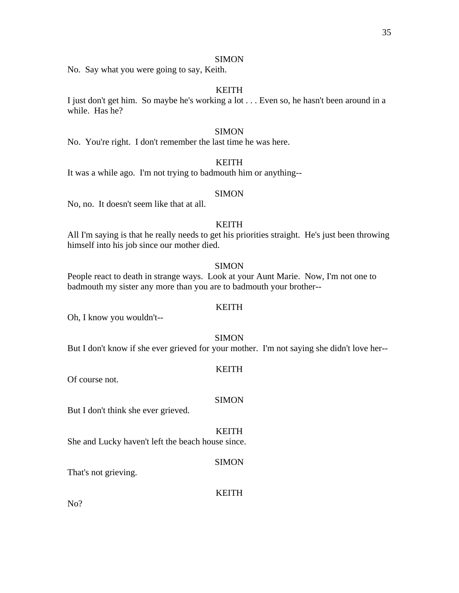No. Say what you were going to say, Keith.

# KEITH

I just don't get him. So maybe he's working a lot . . . Even so, he hasn't been around in a while. Has he?

# SIMON

No. You're right. I don't remember the last time he was here.

# KEITH

It was a while ago. I'm not trying to badmouth him or anything--

#### SIMON

No, no. It doesn't seem like that at all.

# KEITH

All I'm saying is that he really needs to get his priorities straight. He's just been throwing himself into his job since our mother died.

#### SIMON

People react to death in strange ways. Look at your Aunt Marie. Now, I'm not one to badmouth my sister any more than you are to badmouth your brother--

#### **KEITH**

Oh, I know you wouldn't--

#### SIMON

But I don't know if she ever grieved for your mother. I'm not saying she didn't love her--

KEITH

**SIMON** 

#### Of course not.

But I don't think she ever grieved.

#### KEITH

She and Lucky haven't left the beach house since.

#### **SIMON**

That's not grieving.

#### KEITH

No?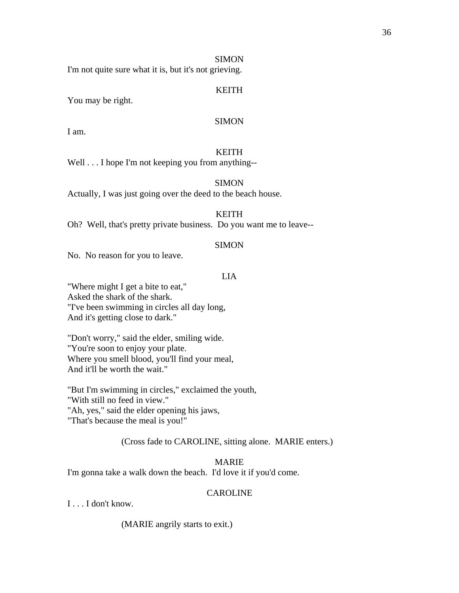# SIMON

I'm not quite sure what it is, but it's not grieving.

# KEITH

You may be right.

# SIMON

I am.

# KEITH

Well . . . I hope I'm not keeping you from anything--

### SIMON

Actually, I was just going over the deed to the beach house.

# KEITH

Oh? Well, that's pretty private business. Do you want me to leave--

### SIMON

No. No reason for you to leave.

# LIA

"Where might I get a bite to eat," Asked the shark of the shark. "I've been swimming in circles all day long, And it's getting close to dark."

"Don't worry," said the elder, smiling wide. "You're soon to enjoy your plate. Where you smell blood, you'll find your meal, And it'll be worth the wait."

"But I'm swimming in circles," exclaimed the youth, "With still no feed in view." "Ah, yes," said the elder opening his jaws, "That's because the meal is you!"

### (Cross fade to CAROLINE, sitting alone. MARIE enters.)

# MARIE

I'm gonna take a walk down the beach. I'd love it if you'd come.

# CAROLINE

I . . . I don't know.

(MARIE angrily starts to exit.)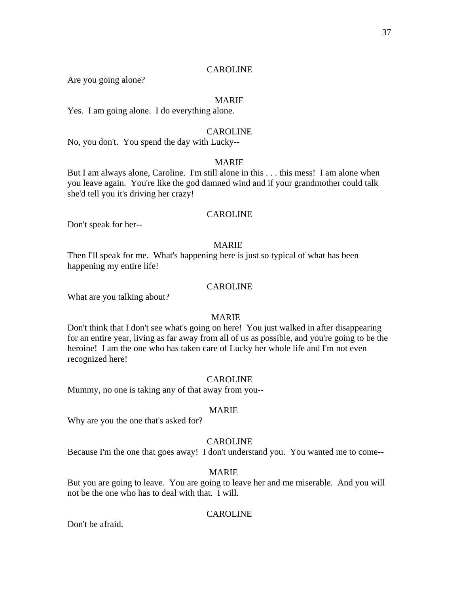Are you going alone?

### MARIE

Yes. I am going alone. I do everything alone.

# CAROLINE

No, you don't. You spend the day with Lucky--

### MARIE

But I am always alone, Caroline. I'm still alone in this . . . this mess! I am alone when you leave again. You're like the god damned wind and if your grandmother could talk she'd tell you it's driving her crazy!

### CAROLINE

Don't speak for her--

#### MARIE

Then I'll speak for me. What's happening here is just so typical of what has been happening my entire life!

### CAROLINE

What are you talking about?

### MARIE

Don't think that I don't see what's going on here! You just walked in after disappearing for an entire year, living as far away from all of us as possible, and you're going to be the heroine! I am the one who has taken care of Lucky her whole life and I'm not even recognized here!

#### CAROLINE

Mummy, no one is taking any of that away from you--

#### MARIE

Why are you the one that's asked for?

#### CAROLINE

Because I'm the one that goes away! I don't understand you. You wanted me to come--

#### MARIE

But you are going to leave. You are going to leave her and me miserable. And you will not be the one who has to deal with that. I will.

### CAROLINE

Don't be afraid.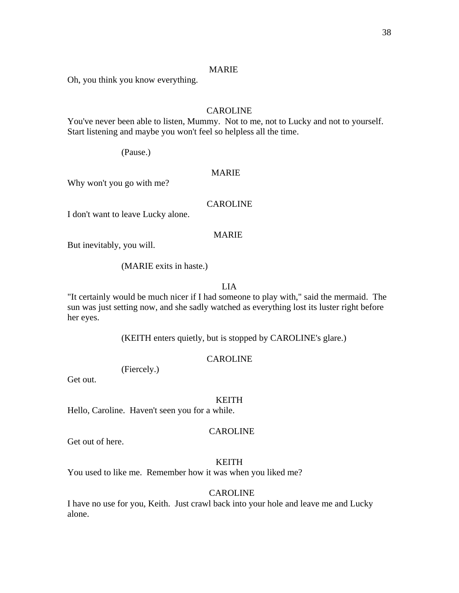Oh, you think you know everything.

# CAROLINE

You've never been able to listen, Mummy. Not to me, not to Lucky and not to yourself. Start listening and maybe you won't feel so helpless all the time.

(Pause.)

# MARIE

Why won't you go with me?

### CAROLINE

I don't want to leave Lucky alone.

# MARIE

But inevitably, you will.

(MARIE exits in haste.)

### LIA

"It certainly would be much nicer if I had someone to play with," said the mermaid. The sun was just setting now, and she sadly watched as everything lost its luster right before her eyes.

(KEITH enters quietly, but is stopped by CAROLINE's glare.)

### CAROLINE

(Fiercely.)

Get out.

#### KEITH

Hello, Caroline. Haven't seen you for a while.

### CAROLINE

Get out of here.

# KEITH

You used to like me. Remember how it was when you liked me?

### CAROLINE

I have no use for you, Keith. Just crawl back into your hole and leave me and Lucky alone.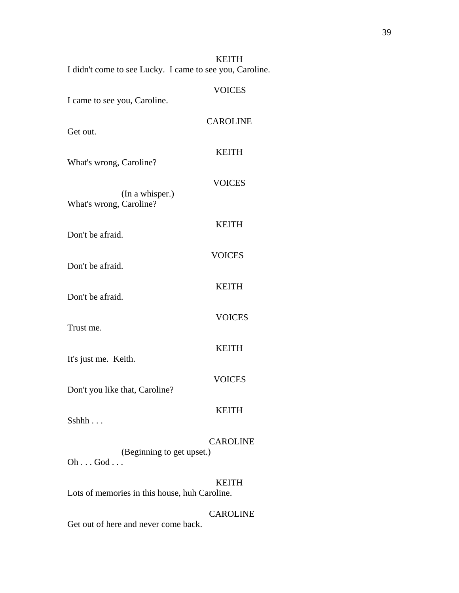| <b>KEITH</b>                                             |
|----------------------------------------------------------|
| I didn't come to see Lucky. I came to see you, Caroline. |

| I came to see you, Caroline.                      | <b>VOICES</b>   |
|---------------------------------------------------|-----------------|
| Get out.                                          | <b>CAROLINE</b> |
| What's wrong, Caroline?                           | <b>KEITH</b>    |
| (In a whisper.)                                   | <b>VOICES</b>   |
| What's wrong, Caroline?<br>Don't be afraid.       | <b>KEITH</b>    |
| Don't be afraid.                                  | <b>VOICES</b>   |
| Don't be afraid.                                  | <b>KEITH</b>    |
| Trust me.                                         | <b>VOICES</b>   |
| It's just me. Keith.                              | <b>KEITH</b>    |
| Don't you like that, Caroline?                    | <b>VOICES</b>   |
| Sshhh                                             | <b>KEITH</b>    |
| (Beginning to get upset.)<br>$Oh \dots God \dots$ | <b>CAROLINE</b> |
| Lots of memories in this house, huh Caroline.     | <b>KEITH</b>    |

Get out of here and never come back.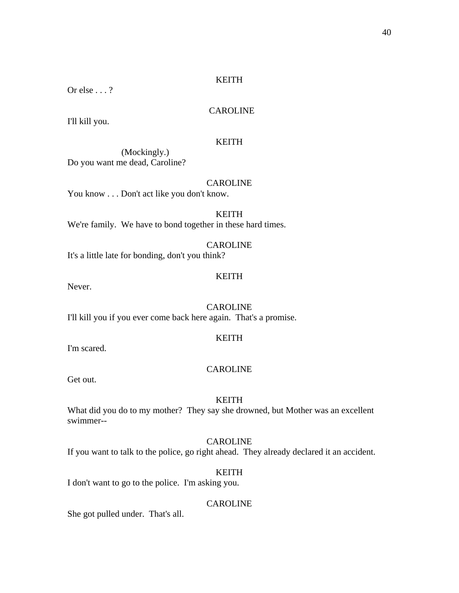# KEITH

Or else . . . ?

# CAROLINE

I'll kill you.

# KEITH

 (Mockingly.) Do you want me dead, Caroline?

## CAROLINE

You know . . . Don't act like you don't know.

KEITH We're family. We have to bond together in these hard times.

CAROLINE It's a little late for bonding, don't you think?

## KEITH

Never.

**CAROLINE** I'll kill you if you ever come back here again. That's a promise.

# KEITH

I'm scared.

### CAROLINE

Get out.

# KEITH

What did you do to my mother? They say she drowned, but Mother was an excellent swimmer--

# CAROLINE

If you want to talk to the police, go right ahead. They already declared it an accident.

# KEITH

I don't want to go to the police. I'm asking you.

# CAROLINE

She got pulled under. That's all.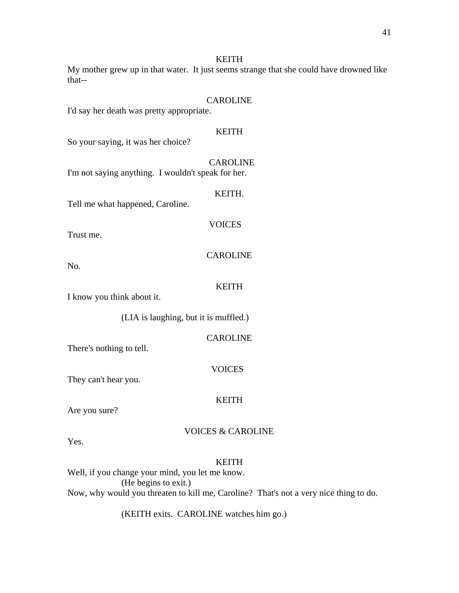# KEITH

My mother grew up in that water. It just seems strange that she could have drowned like that--

# **CAROLINE**

I'd say her death was pretty appropriate.

# KEITH

So your saying, it was her choice?

 CAROLINE I'm not saying anything. I wouldn't speak for her.

# KEITH.

Tell me what happened, Caroline.

Trust me.

**CAROLINE** 

**VOICES** 

No.

### KEITH

I know you think about it.

(LIA is laughing, but it is muffled.)

| <b>CAROLINE</b> |
|-----------------|
|-----------------|

There's nothing to tell.

### VOICES

They can't hear you.

### KEITH

Are you sure?

# VOICES & CAROLINE

Yes.

# KEITH

Well, if you change your mind, you let me know. (He begins to exit.) Now, why would you threaten to kill me, Caroline? That's not a very nice thing to do.

(KEITH exits. CAROLINE watches him go.)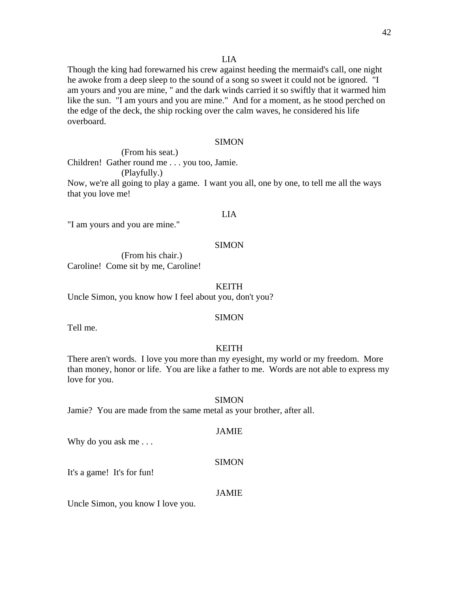#### LIA

Though the king had forewarned his crew against heeding the mermaid's call, one night he awoke from a deep sleep to the sound of a song so sweet it could not be ignored. "I am yours and you are mine, " and the dark winds carried it so swiftly that it warmed him like the sun. "I am yours and you are mine." And for a moment, as he stood perched on the edge of the deck, the ship rocking over the calm waves, he considered his life overboard.

#### SIMON

 (From his seat.) Children! Gather round me . . . you too, Jamie. (Playfully.) Now, we're all going to play a game. I want you all, one by one, to tell me all the ways that you love me!

# LIA

"I am yours and you are mine."

#### SIMON

 (From his chair.) Caroline! Come sit by me, Caroline!

#### KEITH

Uncle Simon, you know how I feel about you, don't you?

#### SIMON

Tell me.

#### KEITH

There aren't words. I love you more than my eyesight, my world or my freedom. More than money, honor or life. You are like a father to me. Words are not able to express my love for you.

#### **SIMON**

Jamie? You are made from the same metal as your brother, after all.

#### JAMIE

Why do you ask me . . .

#### SIMON

It's a game! It's for fun!

#### JAMIE

Uncle Simon, you know I love you.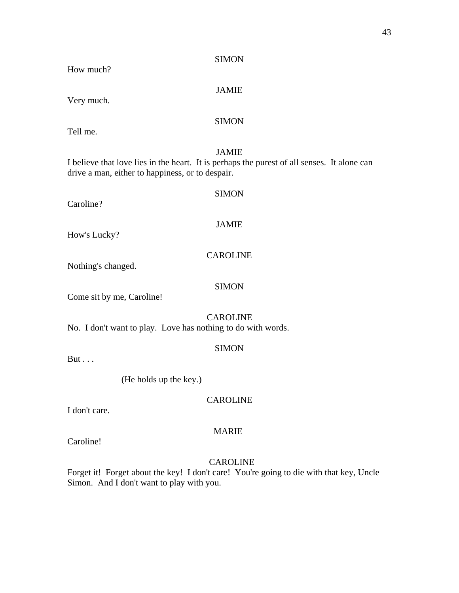| SIMON |
|-------|
|-------|

# How much?

# JAMIE

Very much.

# SIMON

Tell me.

# JAMIE

I believe that love lies in the heart. It is perhaps the purest of all senses. It alone can drive a man, either to happiness, or to despair.

Caroline?

# **SIMON**

# JAMIE

How's Lucky?

**CAROLINE** 

Nothing's changed.

Come sit by me, Caroline!

# CAROLINE

SIMON

No. I don't want to play. Love has nothing to do with words.

### SIMON

But . . .

(He holds up the key.)

# CAROLINE

I don't care.

# MARIE

Caroline!

# CAROLINE

Forget it! Forget about the key! I don't care! You're going to die with that key, Uncle Simon. And I don't want to play with you.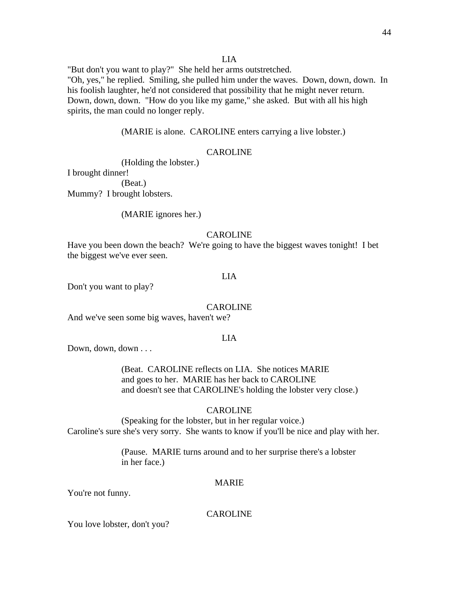#### LIA

"But don't you want to play?" She held her arms outstretched. "Oh, yes," he replied. Smiling, she pulled him under the waves. Down, down, down. In his foolish laughter, he'd not considered that possibility that he might never return. Down, down, down. "How do you like my game," she asked. But with all his high spirits, the man could no longer reply.

(MARIE is alone. CAROLINE enters carrying a live lobster.)

### CAROLINE

(Holding the lobster.)

I brought dinner!

 (Beat.) Mummy? I brought lobsters.

(MARIE ignores her.)

### CAROLINE

Have you been down the beach? We're going to have the biggest waves tonight! I bet the biggest we've ever seen.

# LIA

Don't you want to play?

#### CAROLINE

And we've seen some big waves, haven't we?

# LIA

Down, down, down . . .

 (Beat. CAROLINE reflects on LIA. She notices MARIE and goes to her. MARIE has her back to CAROLINE and doesn't see that CAROLINE's holding the lobster very close.)

#### CAROLINE

 (Speaking for the lobster, but in her regular voice.) Caroline's sure she's very sorry. She wants to know if you'll be nice and play with her.

> (Pause. MARIE turns around and to her surprise there's a lobster in her face.)

### MARIE

You're not funny.

#### CAROLINE

You love lobster, don't you?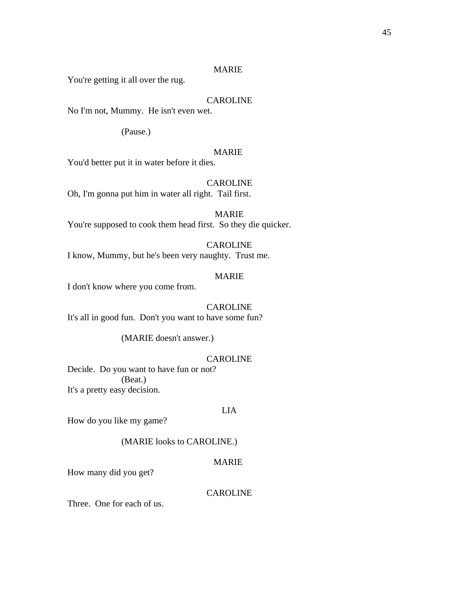You're getting it all over the rug.

# CAROLINE

No I'm not, Mummy. He isn't even wet.

(Pause.)

# MARIE

You'd better put it in water before it dies.

# CAROLINE

Oh, I'm gonna put him in water all right. Tail first.

MARIE You're supposed to cook them head first. So they die quicker.

# CAROLINE

I know, Mummy, but he's been very naughty. Trust me.

# MARIE

I don't know where you come from.

# **CAROLINE**

It's all in good fun. Don't you want to have some fun?

(MARIE doesn't answer.)

# CAROLINE

Decide. Do you want to have fun or not? (Beat.) It's a pretty easy decision.

### LIA

How do you like my game?

(MARIE looks to CAROLINE.)

# MARIE

How many did you get?

### CAROLINE

Three. One for each of us.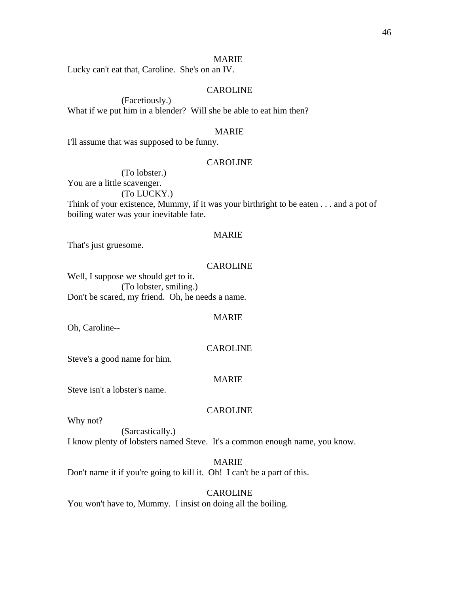Lucky can't eat that, Caroline. She's on an IV.

# CAROLINE

 (Facetiously.) What if we put him in a blender? Will she be able to eat him then?

### MARIE

I'll assume that was supposed to be funny.

#### CAROLINE

 (To lobster.) You are a little scavenger. (To LUCKY.) Think of your existence, Mummy, if it was your birthright to be eaten . . . and a pot of boiling water was your inevitable fate.

# MARIE

That's just gruesome.

### CAROLINE

Well, I suppose we should get to it. (To lobster, smiling.) Don't be scared, my friend. Oh, he needs a name.

#### MARIE

Oh, Caroline--

#### CAROLINE

Steve's a good name for him.

#### MARIE

Steve isn't a lobster's name.

#### CAROLINE

Why not?

 (Sarcastically.) I know plenty of lobsters named Steve. It's a common enough name, you know.

# MARIE

Don't name it if you're going to kill it. Oh! I can't be a part of this.

#### CAROLINE

You won't have to, Mummy. I insist on doing all the boiling.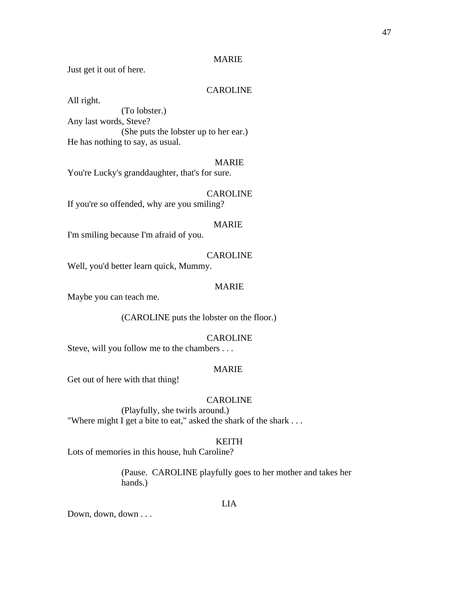Just get it out of here.

# CAROLINE

All right.

 (To lobster.) Any last words, Steve? (She puts the lobster up to her ear.) He has nothing to say, as usual.

# MARIE

You're Lucky's granddaughter, that's for sure.

### CAROLINE

If you're so offended, why are you smiling?

### MARIE

I'm smiling because I'm afraid of you.

# CAROLINE

Well, you'd better learn quick, Mummy.

### MARIE

Maybe you can teach me.

(CAROLINE puts the lobster on the floor.)

# CAROLINE

Steve, will you follow me to the chambers . . .

#### MARIE

Get out of here with that thing!

# CAROLINE

 (Playfully, she twirls around.) "Where might I get a bite to eat," asked the shark of the shark . . .

#### KEITH

Lots of memories in this house, huh Caroline?

 (Pause. CAROLINE playfully goes to her mother and takes her hands.)

#### LIA

Down, down, down . . .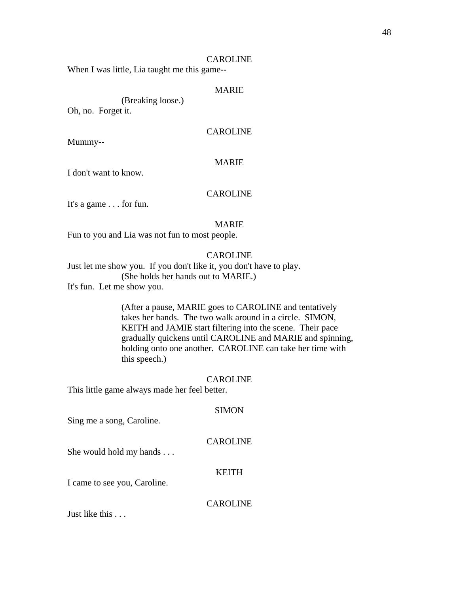When I was little, Lia taught me this game--

# MARIE

(Breaking loose.)

Oh, no. Forget it.

# CAROLINE

Mummy--

# MARIE

I don't want to know.

# CAROLINE

It's a game . . . for fun.

## MARIE

Fun to you and Lia was not fun to most people.

# **CAROLINE**

Just let me show you. If you don't like it, you don't have to play. (She holds her hands out to MARIE.) It's fun. Let me show you.

> (After a pause, MARIE goes to CAROLINE and tentatively takes her hands. The two walk around in a circle. SIMON, KEITH and JAMIE start filtering into the scene. Their pace gradually quickens until CAROLINE and MARIE and spinning, holding onto one another. CAROLINE can take her time with this speech.)

#### CAROLINE

This little game always made her feel better.

#### SIMON

Sing me a song, Caroline.

### CAROLINE

She would hold my hands . . .

#### KEITH

I came to see you, Caroline.

### CAROLINE

Just like this . . .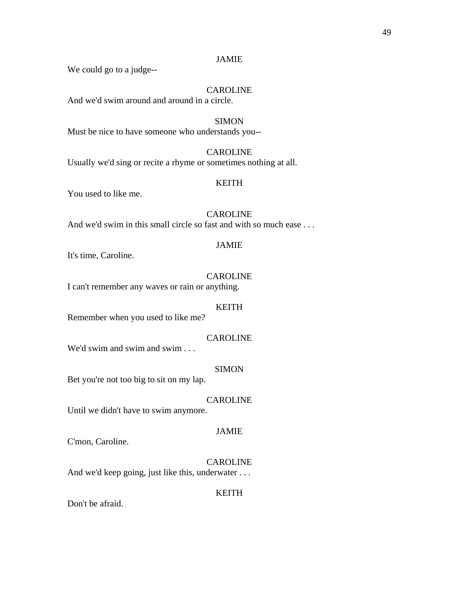We could go to a judge--

# CAROLINE

And we'd swim around and around in a circle.

#### **SIMON**

Must be nice to have someone who understands you--

# CAROLINE

Usually we'd sing or recite a rhyme or sometimes nothing at all.

### KEITH

You used to like me.

# CAROLINE

And we'd swim in this small circle so fast and with so much ease . . .

#### JAMIE

It's time, Caroline.

# CAROLINE

I can't remember any waves or rain or anything.

#### KEITH

Remember when you used to like me?

# CAROLINE

We'd swim and swim and swim . . .

#### SIMON

Bet you're not too big to sit on my lap.

# CAROLINE

Until we didn't have to swim anymore.

### JAMIE

C'mon, Caroline.

# CAROLINE

And we'd keep going, just like this, underwater . . .

#### KEITH

Don't be afraid.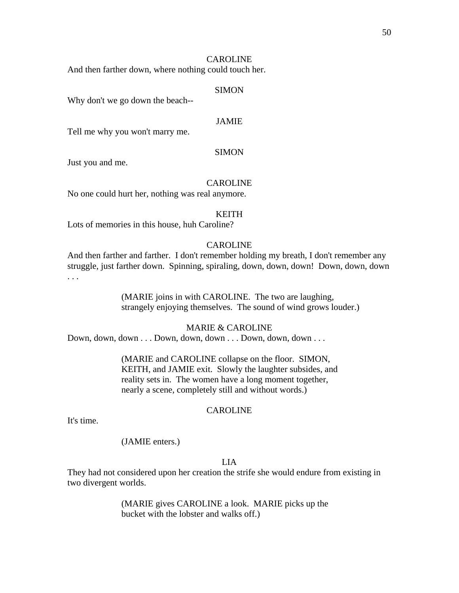And then farther down, where nothing could touch her.

### SIMON

Why don't we go down the beach--

# JAMIE

Tell me why you won't marry me.

### SIMON

Just you and me.

#### CAROLINE

No one could hurt her, nothing was real anymore.

#### KEITH

Lots of memories in this house, huh Caroline?

### CAROLINE

And then farther and farther. I don't remember holding my breath, I don't remember any struggle, just farther down. Spinning, spiraling, down, down, down! Down, down, down . . .

> (MARIE joins in with CAROLINE. The two are laughing, strangely enjoying themselves. The sound of wind grows louder.)

#### MARIE & CAROLINE

Down, down, down . . . Down, down, down . . . Down, down, down . . .

 (MARIE and CAROLINE collapse on the floor. SIMON, KEITH, and JAMIE exit. Slowly the laughter subsides, and reality sets in. The women have a long moment together, nearly a scene, completely still and without words.)

#### CAROLINE

It's time.

### (JAMIE enters.)

# LIA

They had not considered upon her creation the strife she would endure from existing in two divergent worlds.

> (MARIE gives CAROLINE a look. MARIE picks up the bucket with the lobster and walks off.)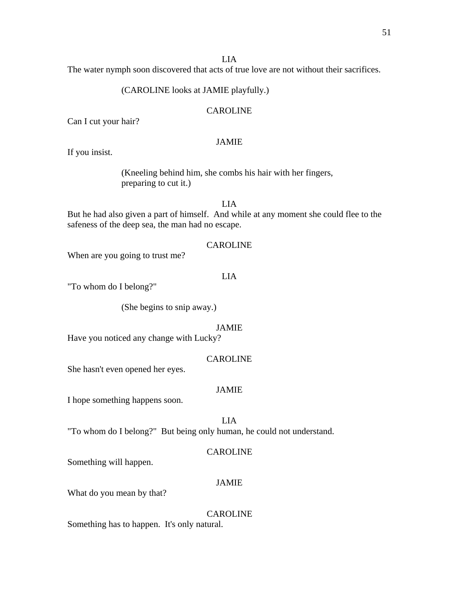LIA

The water nymph soon discovered that acts of true love are not without their sacrifices.

# (CAROLINE looks at JAMIE playfully.)

# CAROLINE

Can I cut your hair?

# JAMIE

If you insist.

 (Kneeling behind him, she combs his hair with her fingers, preparing to cut it.)

LIA

But he had also given a part of himself. And while at any moment she could flee to the safeness of the deep sea, the man had no escape.

# CAROLINE

When are you going to trust me?

# LIA

"To whom do I belong?"

(She begins to snip away.)

### JAMIE

Have you noticed any change with Lucky?

# CAROLINE

She hasn't even opened her eyes.

# JAMIE

I hope something happens soon.

LIA

"To whom do I belong?" But being only human, he could not understand.

### CAROLINE

Something will happen.

# JAMIE

What do you mean by that?

CAROLINE

Something has to happen. It's only natural.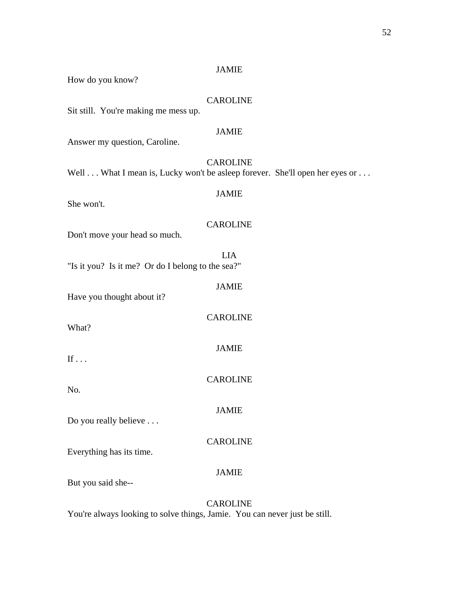| How do you know?                                                             | JAIVILL         |  |
|------------------------------------------------------------------------------|-----------------|--|
| Sit still. You're making me mess up.                                         | <b>CAROLINE</b> |  |
| Answer my question, Caroline.                                                | <b>JAMIE</b>    |  |
| Well  What I mean is, Lucky won't be asleep forever. She'll open her eyes or | <b>CAROLINE</b> |  |
| She won't.                                                                   | <b>JAMIE</b>    |  |
| Don't move your head so much.                                                | <b>CAROLINE</b> |  |
| "Is it you? Is it me? Or do I belong to the sea?"                            | <b>LIA</b>      |  |
| Have you thought about it?                                                   | <b>JAMIE</b>    |  |
| What?                                                                        | <b>CAROLINE</b> |  |
| If $\ldots$                                                                  | <b>JAMIE</b>    |  |
| No.                                                                          | <b>CAROLINE</b> |  |
| Do you really believe                                                        | <b>JAMIE</b>    |  |
| Everything has its time.                                                     | <b>CAROLINE</b> |  |
| But you said she--                                                           | <b>JAMIE</b>    |  |
|                                                                              |                 |  |

CAROLINE You're always looking to solve things, Jamie. You can never just be still.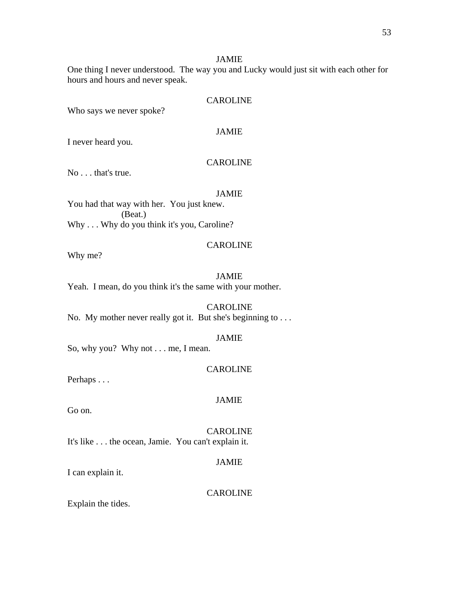One thing I never understood. The way you and Lucky would just sit with each other for hours and hours and never speak.

# **CAROLINE**

Who says we never spoke?

# JAMIE

I never heard you.

# CAROLINE

No . . . that's true.

# JAMIE

You had that way with her. You just knew. (Beat.) Why . . . Why do you think it's you, Caroline?

# CAROLINE

Why me?

### JAMIE

Yeah. I mean, do you think it's the same with your mother.

#### CAROLINE

No. My mother never really got it. But she's beginning to . . .

# JAMIE

So, why you? Why not . . . me, I mean.

### CAROLINE

Perhaps . . .

#### JAMIE

Go on.

### CAROLINE

It's like . . . the ocean, Jamie. You can't explain it.

# JAMIE

I can explain it.

#### CAROLINE

Explain the tides.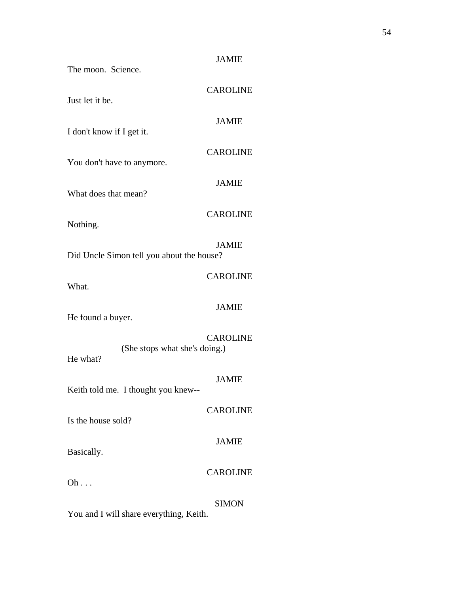| The moon. Science.                        | <b>JAMIE</b>    |
|-------------------------------------------|-----------------|
| Just let it be.                           | <b>CAROLINE</b> |
| I don't know if I get it.                 | <b>JAMIE</b>    |
| You don't have to anymore.                | <b>CAROLINE</b> |
|                                           | <b>JAMIE</b>    |
| What does that mean?                      | <b>CAROLINE</b> |
| Nothing.                                  | <b>JAMIE</b>    |
| Did Uncle Simon tell you about the house? |                 |
| What.                                     | <b>CAROLINE</b> |
| He found a buyer.                         | <b>JAMIE</b>    |
| (She stops what she's doing.)<br>He what? | <b>CAROLINE</b> |
| Keith told me. I thought you knew--       | <b>JAMIE</b>    |
| Is the house sold?                        | <b>CAROLINE</b> |
| Basically.                                | <b>JAMIE</b>    |
| $Oh \dots$                                | <b>CAROLINE</b> |
|                                           | <b>SIMON</b>    |

You and I will share everything, Keith.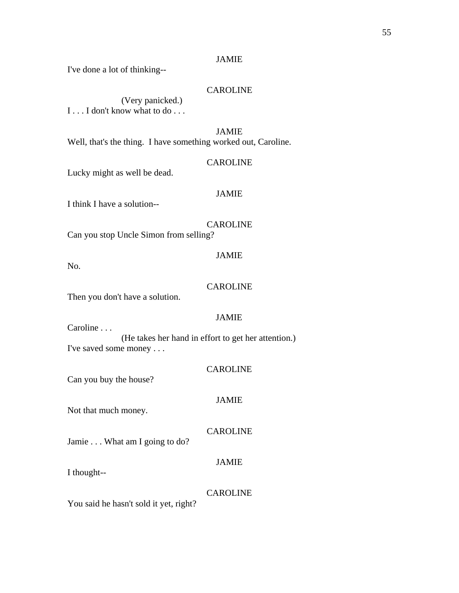I've done a lot of thinking--

# CAROLINE

 (Very panicked.) I . . . I don't know what to do . . .

JAMIE

Well, that's the thing. I have something worked out, Caroline.

# CAROLINE

Lucky might as well be dead.

# JAMIE

I think I have a solution--

CAROLINE

Can you stop Uncle Simon from selling?

No.

#### CAROLINE

JAMIE

Then you don't have a solution.

### JAMIE

Caroline . . .

 (He takes her hand in effort to get her attention.) I've saved some money . . .

CAROLINE

Can you buy the house?

# JAMIE

Not that much money.

# CAROLINE

Jamie . . . What am I going to do?

# JAMIE

I thought--

# CAROLINE

You said he hasn't sold it yet, right?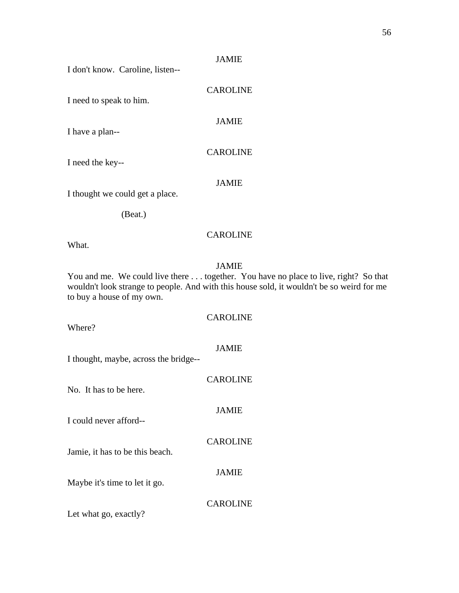I don't know. Caroline, listen--

I need to speak to him.

JAMIE

CAROLINE

I have a plan--

CAROLINE

I need the key--

JAMIE

I thought we could get a place.

(Beat.)

# CAROLINE

What.

# JAMIE

You and me. We could live there . . . together. You have no place to live, right? So that wouldn't look strange to people. And with this house sold, it wouldn't be so weird for me to buy a house of my own.

Where?

JAMIE

CAROLINE

I thought, maybe, across the bridge--

| No. It has to be here.          | <b>CAROLINE</b> |
|---------------------------------|-----------------|
| I could never afford--          | <b>JAMIE</b>    |
| Jamie, it has to be this beach. | <b>CAROLINE</b> |
| Maybe it's time to let it go.   | <b>JAMIE</b>    |
| Let what go, exactly?           | <b>CAROLINE</b> |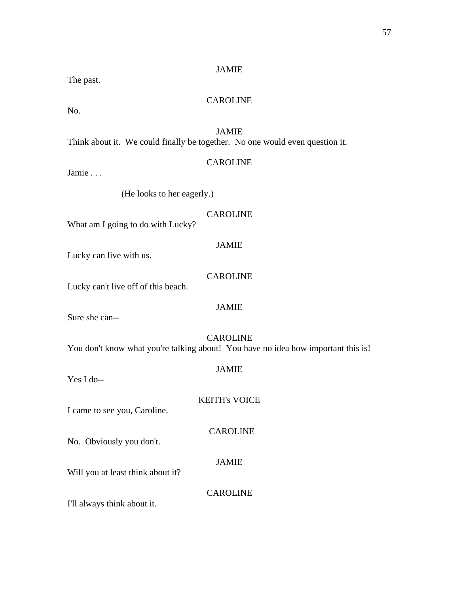The past.

# **CAROLINE**

No.

# JAMIE

Think about it. We could finally be together. No one would even question it.

# CAROLINE

Jamie . . .

(He looks to her eagerly.)

# CAROLINE

JAMIE

What am I going to do with Lucky?

Lucky can live with us.

# CAROLINE

Lucky can't live off of this beach.

# JAMIE

Sure she can--

# CAROLINE You don't know what you're talking about! You have no idea how important this is!

Yes I do--

# JAMIE

KEITH's VOICE

CAROLINE

I came to see you, Caroline.

No. Obviously you don't.

# JAMIE

Will you at least think about it?

# CAROLINE

I'll always think about it.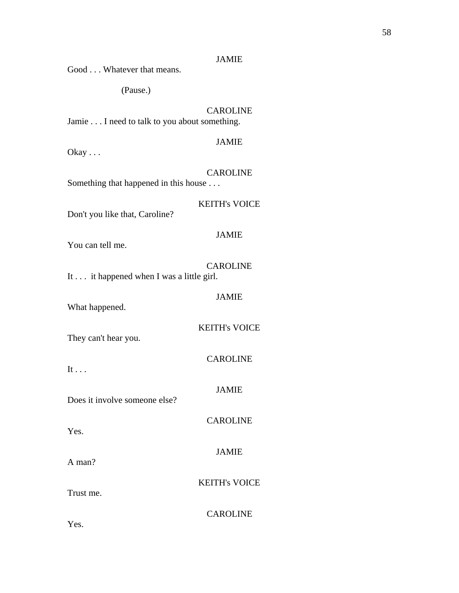| Good Whatever that means.                                | JANIIE               |  |
|----------------------------------------------------------|----------------------|--|
| (Pause.)                                                 |                      |  |
| Jamie I need to talk to you about something.             | <b>CAROLINE</b>      |  |
| $O$ kay $\ldots$                                         | <b>JAMIE</b>         |  |
| <b>CAROLINE</b><br>Something that happened in this house |                      |  |
| Don't you like that, Caroline?                           | <b>KEITH's VOICE</b> |  |
| You can tell me.                                         | <b>JAMIE</b>         |  |
| It it happened when I was a little girl.                 | <b>CAROLINE</b>      |  |
| What happened.                                           | <b>JAMIE</b>         |  |
| They can't hear you.                                     | <b>KEITH's VOICE</b> |  |
| It $\ldots$                                              | <b>CAROLINE</b>      |  |
| Does it involve someone else?                            | <b>JAMIE</b>         |  |
| Yes.                                                     | <b>CAROLINE</b>      |  |
| A man?                                                   | <b>JAMIE</b>         |  |
| Trust me.                                                | <b>KEITH's VOICE</b> |  |
| Yes.                                                     | <b>CAROLINE</b>      |  |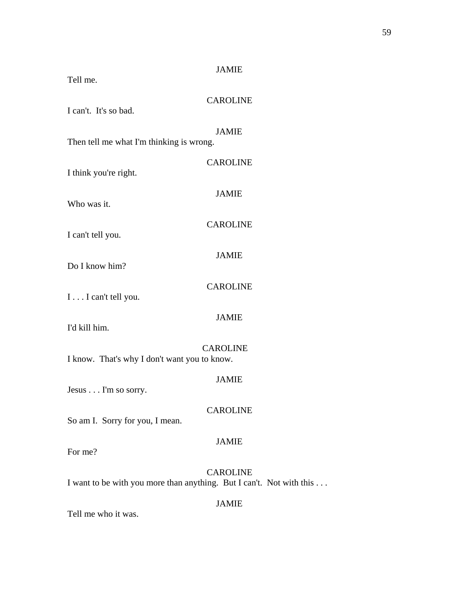| Tell me.                                                             | <b>JAMIE</b>    |  |
|----------------------------------------------------------------------|-----------------|--|
| I can't. It's so bad.                                                | <b>CAROLINE</b> |  |
| Then tell me what I'm thinking is wrong.                             | <b>JAMIE</b>    |  |
| I think you're right.                                                | <b>CAROLINE</b> |  |
| Who was it.                                                          | <b>JAMIE</b>    |  |
| I can't tell you.                                                    | <b>CAROLINE</b> |  |
| Do I know him?                                                       | <b>JAMIE</b>    |  |
|                                                                      | <b>CAROLINE</b> |  |
| I I can't tell you.                                                  | <b>JAMIE</b>    |  |
| I'd kill him.                                                        | <b>CAROLINE</b> |  |
| I know. That's why I don't want you to know.                         |                 |  |
| Jesus I'm so sorry.                                                  | <b>JAMIE</b>    |  |
| So am I. Sorry for you, I mean.                                      | <b>CAROLINE</b> |  |
| For me?                                                              | <b>JAMIE</b>    |  |
| I want to be with you more than anything. But I can't. Not with this | <b>CAROLINE</b> |  |
|                                                                      | <b>JAMIE</b>    |  |

Tell me who it was.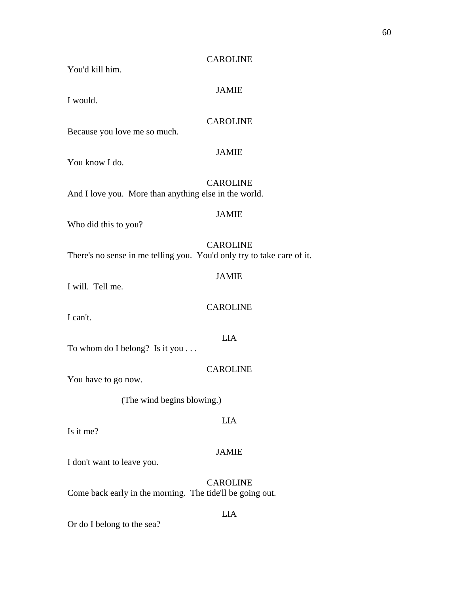JAMIE

You'd kill him.

I would.

# CAROLINE

Because you love me so much.

# JAMIE

You know I do.

 CAROLINE And I love you. More than anything else in the world.

# JAMIE

Who did this to you?

 CAROLINE There's no sense in me telling you. You'd only try to take care of it.

# JAMIE

I will. Tell me.

# CAROLINE

LIA

I can't.

To whom do I belong? Is it you . . .

CAROLINE

You have to go now.

(The wind begins blowing.)

Is it me?

### JAMIE

LIA

I don't want to leave you.

 CAROLINE Come back early in the morning. The tide'll be going out.

# LIA

Or do I belong to the sea?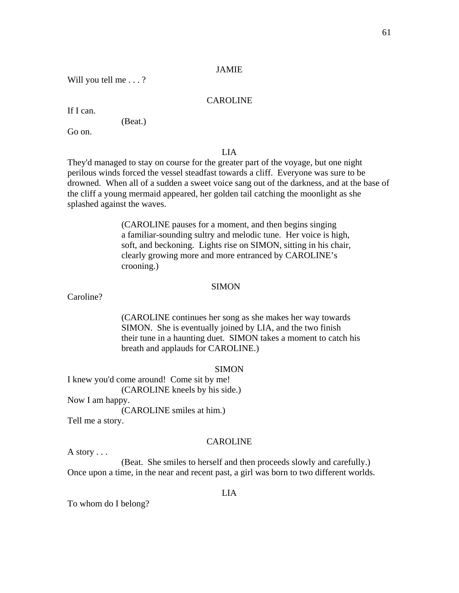Will you tell me . . . ?

# CAROLINE

If I can.

(Beat.)

Go on.

# LIA

They'd managed to stay on course for the greater part of the voyage, but one night perilous winds forced the vessel steadfast towards a cliff. Everyone was sure to be drowned. When all of a sudden a sweet voice sang out of the darkness, and at the base of the cliff a young mermaid appeared, her golden tail catching the moonlight as she splashed against the waves.

> (CAROLINE pauses for a moment, and then begins singing a familiar-sounding sultry and melodic tune. Her voice is high, soft, and beckoning. Lights rise on SIMON, sitting in his chair, clearly growing more and more entranced by CAROLINE's crooning.)

#### SIMON

Caroline?

 (CAROLINE continues her song as she makes her way towards SIMON. She is eventually joined by LIA, and the two finish their tune in a haunting duet. SIMON takes a moment to catch his breath and applauds for CAROLINE.)

#### SIMON

I knew you'd come around! Come sit by me! (CAROLINE kneels by his side.) Now I am happy.

(CAROLINE smiles at him.)

Tell me a story.

#### CAROLINE

A story . . .

 (Beat. She smiles to herself and then proceeds slowly and carefully.) Once upon a time, in the near and recent past, a girl was born to two different worlds.

#### LIA

To whom do I belong?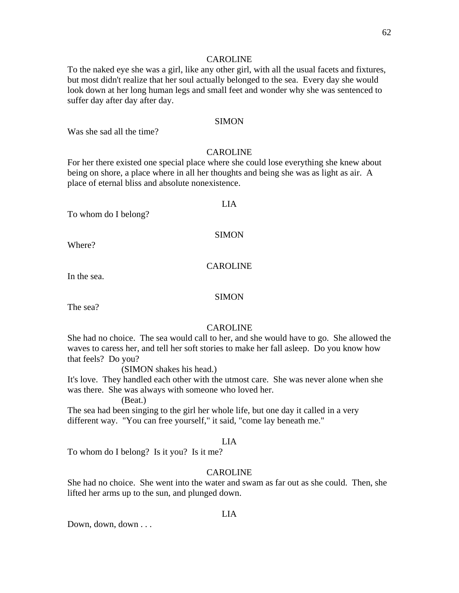To the naked eye she was a girl, like any other girl, with all the usual facets and fixtures, but most didn't realize that her soul actually belonged to the sea. Every day she would look down at her long human legs and small feet and wonder why she was sentenced to suffer day after day after day.

### SIMON

Was she sad all the time?

#### CAROLINE

For her there existed one special place where she could lose everything she knew about being on shore, a place where in all her thoughts and being she was as light as air. A place of eternal bliss and absolute nonexistence.

#### LIA

To whom do I belong?

SIMON

Where?

## CAROLINE

In the sea.

### SIMON

The sea?

### CAROLINE

She had no choice. The sea would call to her, and she would have to go. She allowed the waves to caress her, and tell her soft stories to make her fall asleep. Do you know how that feels? Do you?

(SIMON shakes his head.)

It's love. They handled each other with the utmost care. She was never alone when she was there. She was always with someone who loved her.

(Beat.)

The sea had been singing to the girl her whole life, but one day it called in a very different way. "You can free yourself," it said, "come lay beneath me."

#### LIA

To whom do I belong? Is it you? Is it me?

#### CAROLINE

She had no choice. She went into the water and swam as far out as she could. Then, she lifted her arms up to the sun, and plunged down.

Down, down, down . . .

#### LIA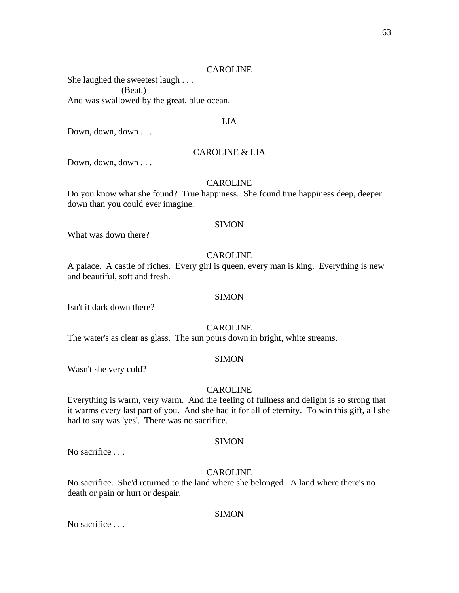She laughed the sweetest laugh . . . (Beat.) And was swallowed by the great, blue ocean.

# LIA

Down, down, down . . .

### CAROLINE & LIA

Down, down, down . . .

## CAROLINE

Do you know what she found? True happiness. She found true happiness deep, deeper down than you could ever imagine.

#### **SIMON**

What was down there?

# CAROLINE

A palace. A castle of riches. Every girl is queen, every man is king. Everything is new and beautiful, soft and fresh.

#### SIMON

Isn't it dark down there?

### CAROLINE

The water's as clear as glass. The sun pours down in bright, white streams.

# **SIMON**

Wasn't she very cold?

#### CAROLINE

Everything is warm, very warm. And the feeling of fullness and delight is so strong that it warms every last part of you. And she had it for all of eternity. To win this gift, all she had to say was 'yes'. There was no sacrifice.

#### **SIMON**

No sacrifice . . .

#### CAROLINE

No sacrifice. She'd returned to the land where she belonged. A land where there's no death or pain or hurt or despair.

#### SIMON

No sacrifice . . .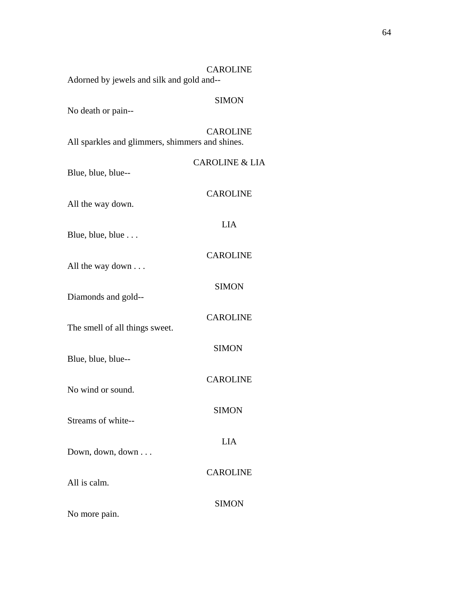| <b>CAROLINE</b><br>Adorned by jewels and silk and gold and-- |                           |  |
|--------------------------------------------------------------|---------------------------|--|
| No death or pain--                                           | <b>SIMON</b>              |  |
| All sparkles and glimmers, shimmers and shines.              | <b>CAROLINE</b>           |  |
| Blue, blue, blue--                                           | <b>CAROLINE &amp; LIA</b> |  |
| All the way down.                                            | <b>CAROLINE</b>           |  |
| Blue, blue, blue                                             | <b>LIA</b>                |  |
| All the way down                                             | <b>CAROLINE</b>           |  |
| Diamonds and gold--                                          | <b>SIMON</b>              |  |
| The smell of all things sweet.                               | <b>CAROLINE</b>           |  |
|                                                              | <b>SIMON</b>              |  |
| Blue, blue, blue--                                           | <b>CAROLINE</b>           |  |
| No wind or sound.                                            | <b>SIMON</b>              |  |
| Streams of white--                                           | <b>LIA</b>                |  |
| Down, down, down                                             | <b>CAROLINE</b>           |  |
| All is calm.                                                 | <b>SIMON</b>              |  |
| No more pain.                                                |                           |  |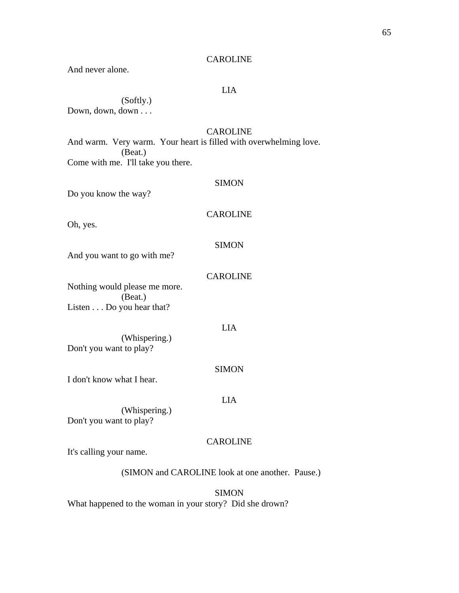And never alone.

# LIA

 (Softly.) Down, down, down . . .

# CAROLINE

And warm. Very warm. Your heart is filled with overwhelming love. (Beat.) Come with me. I'll take you there.

#### SIMON

Do you know the way?

# CAROLINE

Oh, yes.

#### **SIMON**

And you want to go with me?

## CAROLINE

Nothing would please me more. (Beat.) Listen . . . Do you hear that?

### LIA

 (Whispering.) Don't you want to play?

#### SIMON

I don't know what I hear.

# LIA

 (Whispering.) Don't you want to play?

### **CAROLINE**

It's calling your name.

# (SIMON and CAROLINE look at one another. Pause.)

**SIMON** What happened to the woman in your story? Did she drown?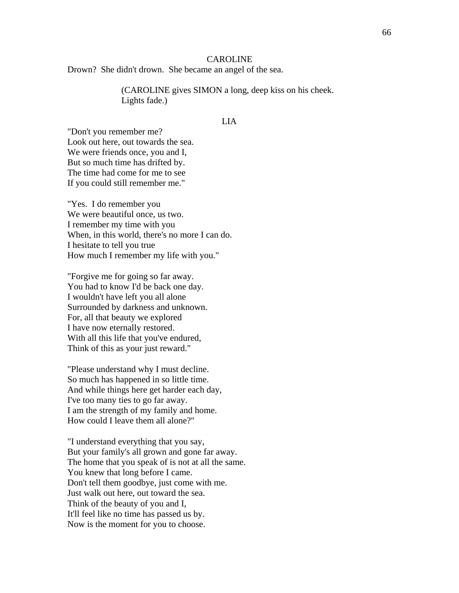Drown? She didn't drown. She became an angel of the sea.

 (CAROLINE gives SIMON a long, deep kiss on his cheek. Lights fade.)

# LIA

"Don't you remember me? Look out here, out towards the sea. We were friends once, you and I, But so much time has drifted by. The time had come for me to see If you could still remember me."

"Yes. I do remember you We were beautiful once, us two. I remember my time with you When, in this world, there's no more I can do. I hesitate to tell you true How much I remember my life with you."

"Forgive me for going so far away. You had to know I'd be back one day. I wouldn't have left you all alone Surrounded by darkness and unknown. For, all that beauty we explored I have now eternally restored. With all this life that you've endured, Think of this as your just reward."

"Please understand why I must decline. So much has happened in so little time. And while things here get harder each day, I've too many ties to go far away. I am the strength of my family and home. How could I leave them all alone?"

"I understand everything that you say, But your family's all grown and gone far away. The home that you speak of is not at all the same. You knew that long before I came. Don't tell them goodbye, just come with me. Just walk out here, out toward the sea. Think of the beauty of you and I, It'll feel like no time has passed us by. Now is the moment for you to choose.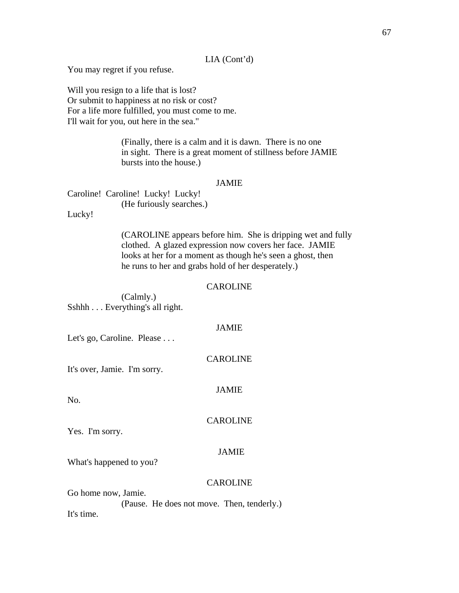# LIA (Cont'd)

You may regret if you refuse.

Will you resign to a life that is lost? Or submit to happiness at no risk or cost? For a life more fulfilled, you must come to me. I'll wait for you, out here in the sea."

> (Finally, there is a calm and it is dawn. There is no one in sight. There is a great moment of stillness before JAMIE bursts into the house.)

### JAMIE

Caroline! Caroline! Lucky! Lucky! (He furiously searches.)

Lucky!

 (CAROLINE appears before him. She is dripping wet and fully clothed. A glazed expression now covers her face. JAMIE looks at her for a moment as though he's seen a ghost, then he runs to her and grabs hold of her desperately.)

#### **CAROLINE**

 (Calmly.) Sshhh . . . Everything's all right.

# JAMIE

Let's go, Caroline. Please . . .

It's over, Jamie. I'm sorry.

### JAMIE

CAROLINE

CAROLINE

No.

Yes. I'm sorry.

### JAMIE

What's happened to you?

### CAROLINE

Go home now, Jamie. (Pause. He does not move. Then, tenderly.) It's time.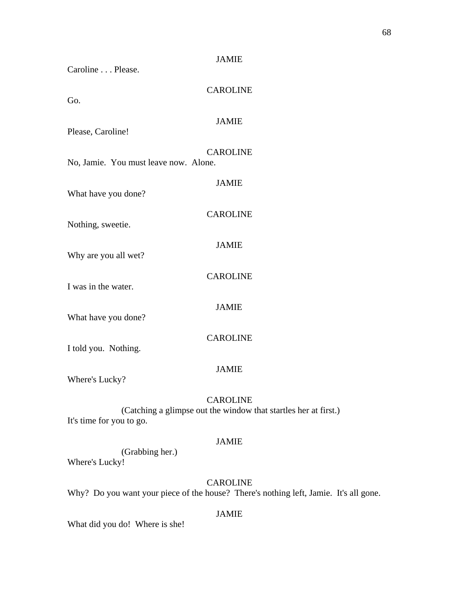| Caroline Please.                      | <b>JAMIE</b>    |
|---------------------------------------|-----------------|
| Go.                                   | <b>CAROLINE</b> |
| Please, Caroline!                     | <b>JAMIE</b>    |
| No, Jamie. You must leave now. Alone. | <b>CAROLINE</b> |
| What have you done?                   | <b>JAMIE</b>    |
| Nothing, sweetie.                     | <b>CAROLINE</b> |
| Why are you all wet?                  | <b>JAMIE</b>    |
| I was in the water.                   | <b>CAROLINE</b> |
| What have you done?                   | <b>JAMIE</b>    |
| I told you. Nothing.                  | <b>CAROLINE</b> |
| Where's Lucky?                        | <b>JAMIE</b>    |

 (Catching a glimpse out the window that startles her at first.) It's time for you to go.

# JAMIE

 (Grabbing her.) Where's Lucky!

# CAROLINE

Why? Do you want your piece of the house? There's nothing left, Jamie. It's all gone.

# JAMIE

What did you do! Where is she!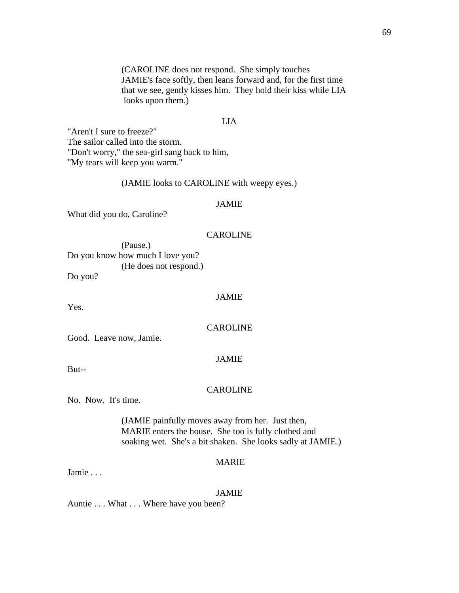(CAROLINE does not respond. She simply touches JAMIE's face softly, then leans forward and, for the first time that we see, gently kisses him. They hold their kiss while LIA looks upon them.)

#### LIA

"Aren't I sure to freeze?" The sailor called into the storm. "Don't worry," the sea-girl sang back to him, "My tears will keep you warm."

# (JAMIE looks to CAROLINE with weepy eyes.)

#### JAMIE

What did you do, Caroline?

#### CAROLINE

 (Pause.) Do you know how much I love you? (He does not respond.)

Do you?

Yes.

# JAMIE

CAROLINE

Good. Leave now, Jamie.

# But--

#### CAROLINE

JAMIE

No. Now. It's time.

 (JAMIE painfully moves away from her. Just then, MARIE enters the house. She too is fully clothed and soaking wet. She's a bit shaken. She looks sadly at JAMIE.)

# MARIE

Jamie . . .

#### JAMIE

Auntie . . . What . . . Where have you been?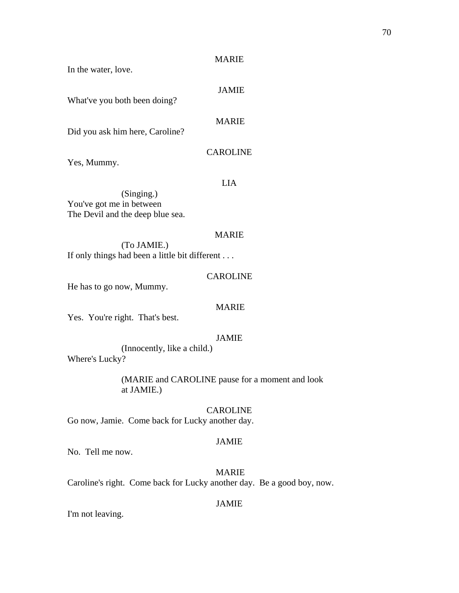In the water, love.

# JAMIE

What've you both been doing?

# MARIE

Did you ask him here, Caroline?

# CAROLINE

Yes, Mummy.

LIA

 (Singing.) You've got me in between The Devil and the deep blue sea.

# MARIE

 (To JAMIE.) If only things had been a little bit different . . .

# CAROLINE

He has to go now, Mummy.

### MARIE

Yes. You're right. That's best.

# JAMIE

 (Innocently, like a child.) Where's Lucky?

> (MARIE and CAROLINE pause for a moment and look at JAMIE.)

CAROLINE Go now, Jamie. Come back for Lucky another day.

### JAMIE

No. Tell me now.

 MARIE Caroline's right. Come back for Lucky another day. Be a good boy, now.

### JAMIE

I'm not leaving.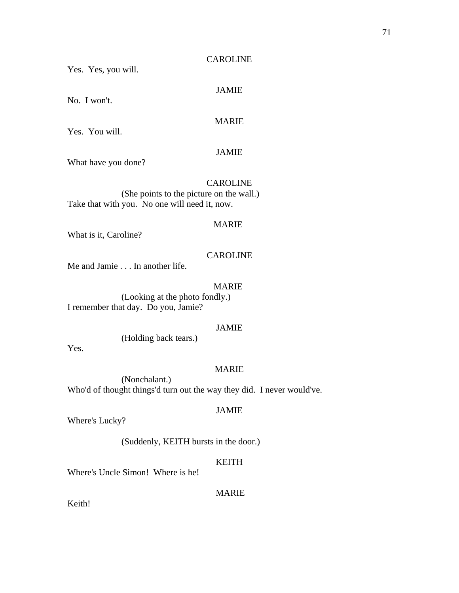JAMIE

MARIE

Yes. Yes, you will.

No. I won't.

Yes. You will.

### JAMIE

What have you done?

# CAROLINE

 (She points to the picture on the wall.) Take that with you. No one will need it, now.

# MARIE

What is it, Caroline?

# **CAROLINE**

Me and Jamie . . . In another life.

# MARIE

 (Looking at the photo fondly.) I remember that day. Do you, Jamie?

# JAMIE

(Holding back tears.)

Yes.

### MARIE

 (Nonchalant.) Who'd of thought things'd turn out the way they did. I never would've.

# JAMIE

Where's Lucky?

(Suddenly, KEITH bursts in the door.)

# KEITH

Where's Uncle Simon! Where is he!

### MARIE

Keith!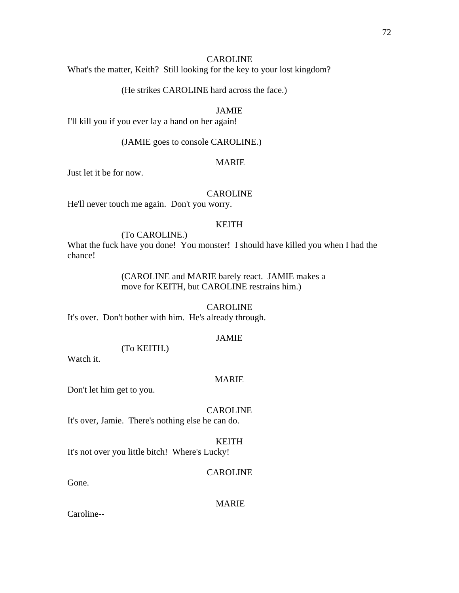What's the matter, Keith? Still looking for the key to your lost kingdom?

(He strikes CAROLINE hard across the face.)

# JAMIE

I'll kill you if you ever lay a hand on her again!

(JAMIE goes to console CAROLINE.)

### MARIE

Just let it be for now.

### CAROLINE

He'll never touch me again. Don't you worry.

# KEITH

(To CAROLINE.)

What the fuck have you done! You monster! I should have killed you when I had the chance!

> (CAROLINE and MARIE barely react. JAMIE makes a move for KEITH, but CAROLINE restrains him.)

# CAROLINE

It's over. Don't bother with him. He's already through.

# JAMIE

 (To KEITH.) Watch it.

#### MARIE

Don't let him get to you.

# CAROLINE

It's over, Jamie. There's nothing else he can do.

#### KEITH

It's not over you little bitch! Where's Lucky!

#### CAROLINE

Gone.

### MARIE

Caroline--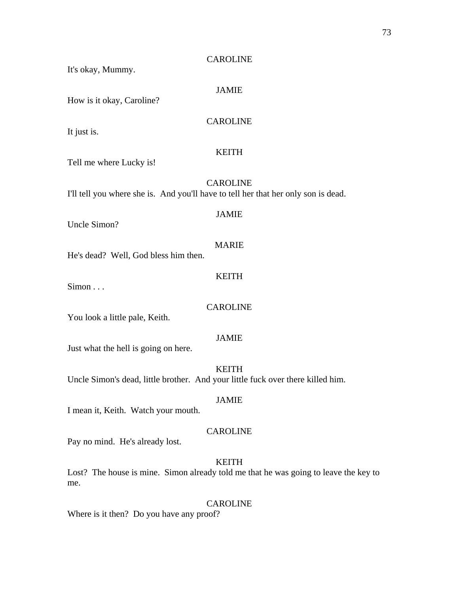# CAROLINE It's okay, Mummy. JAMIE How is it okay, Caroline? CAROLINE It just is. KEITH Tell me where Lucky is! CAROLINE I'll tell you where she is. And you'll have to tell her that her only son is dead. JAMIE Uncle Simon? MARIE He's dead? Well, God bless him then. KEITH Simon . . . CAROLINE You look a little pale, Keith. JAMIE Just what the hell is going on here. KEITH Uncle Simon's dead, little brother. And your little fuck over there killed him. JAMIE I mean it, Keith. Watch your mouth. CAROLINE Pay no mind. He's already lost. KEITH

Lost? The house is mine. Simon already told me that he was going to leave the key to me.

CAROLINE Where is it then? Do you have any proof?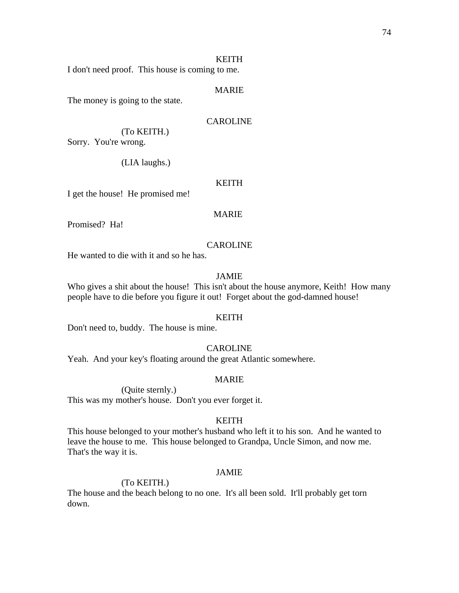### KEITH

I don't need proof. This house is coming to me.

### MARIE

The money is going to the state.

### CAROLINE

 (To KEITH.) Sorry. You're wrong.

(LIA laughs.)

#### KEITH

I get the house! He promised me!

# MARIE

Promised? Ha!

#### CAROLINE

He wanted to die with it and so he has.

# JAMIE

Who gives a shit about the house! This isn't about the house anymore, Keith! How many people have to die before you figure it out! Forget about the god-damned house!

#### KEITH

Don't need to, buddy. The house is mine.

#### CAROLINE

Yeah. And your key's floating around the great Atlantic somewhere.

#### MARIE

(Quite sternly.)

This was my mother's house. Don't you ever forget it.

### KEITH

This house belonged to your mother's husband who left it to his son. And he wanted to leave the house to me. This house belonged to Grandpa, Uncle Simon, and now me. That's the way it is.

#### JAMIE

### (To KEITH.)

The house and the beach belong to no one. It's all been sold. It'll probably get torn down.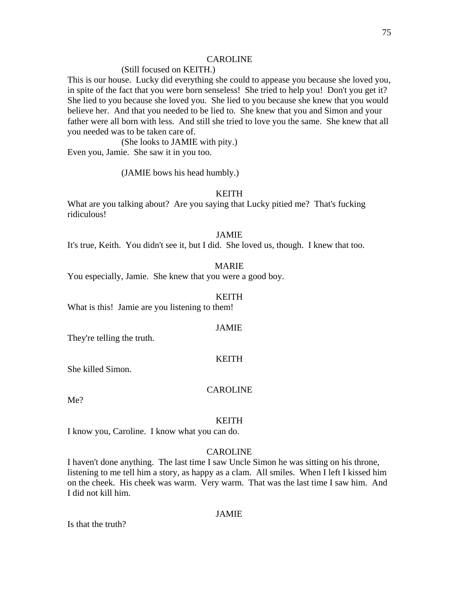### (Still focused on KEITH.)

This is our house. Lucky did everything she could to appease you because she loved you, in spite of the fact that you were born senseless! She tried to help you! Don't you get it? She lied to you because she loved you. She lied to you because she knew that you would believe her. And that you needed to be lied to. She knew that you and Simon and your father were all born with less. And still she tried to love you the same. She knew that all you needed was to be taken care of.

 (She looks to JAMIE with pity.) Even you, Jamie. She saw it in you too.

(JAMIE bows his head humbly.)

### KEITH

What are you talking about? Are you saying that Lucky pitied me? That's fucking ridiculous!

#### JAMIE

It's true, Keith. You didn't see it, but I did. She loved us, though. I knew that too.

#### MARIE

You especially, Jamie. She knew that you were a good boy.

#### KEITH

What is this! Jamie are you listening to them!

#### JAMIE

They're telling the truth.

#### KEITH

She killed Simon.

#### CAROLINE

Me?

#### KEITH

I know you, Caroline. I know what you can do.

## CAROLINE

I haven't done anything. The last time I saw Uncle Simon he was sitting on his throne, listening to me tell him a story, as happy as a clam. All smiles. When I left I kissed him on the cheek. His cheek was warm. Very warm. That was the last time I saw him. And I did not kill him.

#### JAMIE

Is that the truth?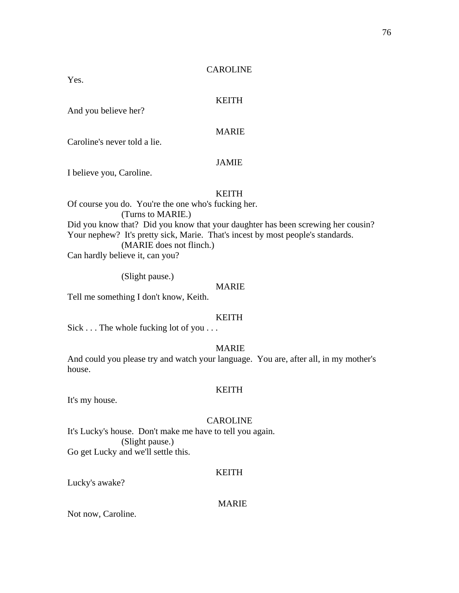Yes.

# KEITH

And you believe her?

# MARIE

Caroline's never told a lie.

### JAMIE

I believe you, Caroline.

### KEITH

Of course you do. You're the one who's fucking her. (Turns to MARIE.) Did you know that? Did you know that your daughter has been screwing her cousin? Your nephew? It's pretty sick, Marie. That's incest by most people's standards. (MARIE does not flinch.) Can hardly believe it, can you?

(Slight pause.)

### MARIE

Tell me something I don't know, Keith.

### KEITH

Sick . . . The whole fucking lot of you . . .

### MARIE

And could you please try and watch your language. You are, after all, in my mother's house.

#### KEITH

It's my house.

### CAROLINE

It's Lucky's house. Don't make me have to tell you again. (Slight pause.) Go get Lucky and we'll settle this.

#### KEITH

Lucky's awake?

### MARIE

Not now, Caroline.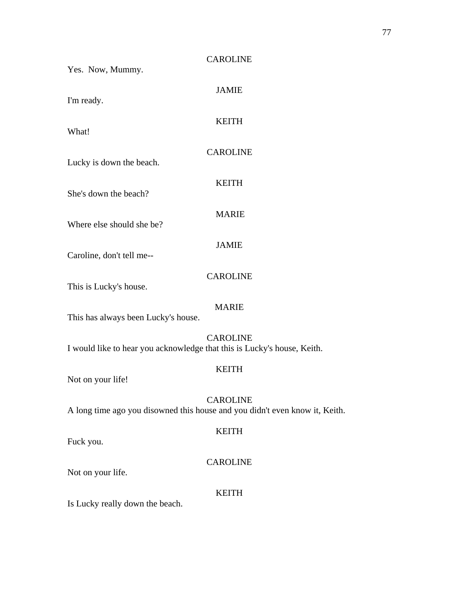| Yes. Now, Mummy.                                                        | <b>CAROLINE</b>                                                                                |
|-------------------------------------------------------------------------|------------------------------------------------------------------------------------------------|
| I'm ready.                                                              | <b>JAMIE</b>                                                                                   |
| What!                                                                   | <b>KEITH</b>                                                                                   |
| Lucky is down the beach.                                                | <b>CAROLINE</b>                                                                                |
| She's down the beach?                                                   | <b>KEITH</b>                                                                                   |
| Where else should she be?                                               | <b>MARIE</b>                                                                                   |
| Caroline, don't tell me--                                               | <b>JAMIE</b>                                                                                   |
| This is Lucky's house.                                                  | <b>CAROLINE</b>                                                                                |
| This has always been Lucky's house.                                     | <b>MARIE</b>                                                                                   |
| I would like to hear you acknowledge that this is Lucky's house, Keith. | <b>CAROLINE</b>                                                                                |
| Not on your life!                                                       | <b>KEITH</b>                                                                                   |
|                                                                         | <b>CAROLINE</b><br>A long time ago you disowned this house and you didn't even know it, Keith. |
| Fuck you.                                                               | <b>KEITH</b>                                                                                   |
| Not on your life.                                                       | <b>CAROLINE</b>                                                                                |
| Is Lucky really down the beach.                                         | <b>KEITH</b>                                                                                   |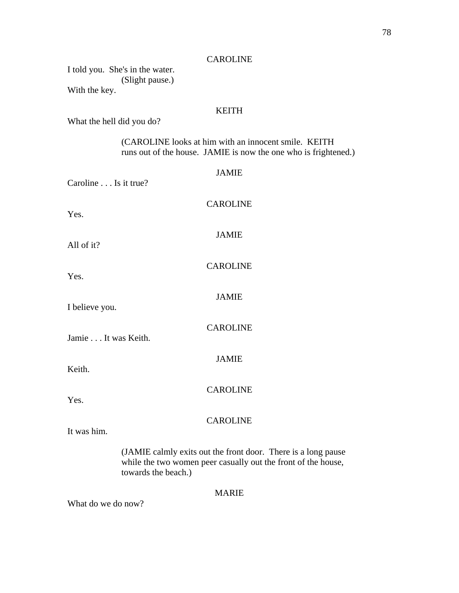|               | I told you. She's in the water. |
|---------------|---------------------------------|
|               | (Slight pause.)                 |
| With the key. |                                 |

# KEITH

What the hell did you do?

 (CAROLINE looks at him with an innocent smile. KEITH runs out of the house. JAMIE is now the one who is frightened.)

| Caroline Is it true? | <b>JAMIE</b>                                                                                                                   |
|----------------------|--------------------------------------------------------------------------------------------------------------------------------|
| Yes.                 | <b>CAROLINE</b>                                                                                                                |
| All of it?           | <b>JAMIE</b>                                                                                                                   |
| Yes.                 | <b>CAROLINE</b>                                                                                                                |
| I believe you.       | <b>JAMIE</b>                                                                                                                   |
| Jamie It was Keith.  | <b>CAROLINE</b>                                                                                                                |
| Keith.               | <b>JAMIE</b>                                                                                                                   |
| Yes.                 | <b>CAROLINE</b>                                                                                                                |
| It was him.          | <b>CAROLINE</b>                                                                                                                |
|                      | (JAMIE calmly exits out the front door. There is a long pause<br>while the two women peer casually out the front of the house, |

towards the beach.)

MARIE

What do we do now?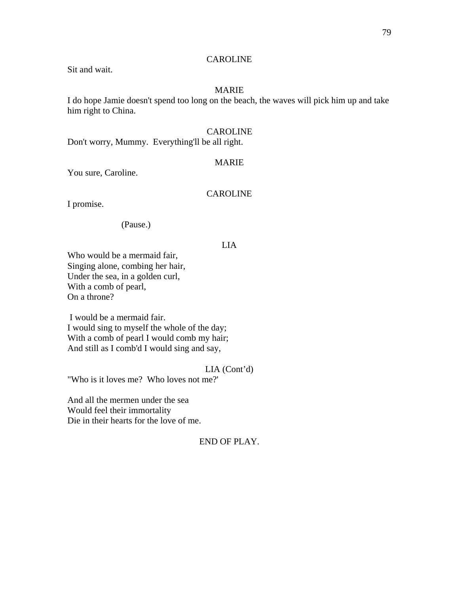Sit and wait.

# MARIE

I do hope Jamie doesn't spend too long on the beach, the waves will pick him up and take him right to China.

### CAROLINE

Don't worry, Mummy. Everything'll be all right.

#### MARIE

You sure, Caroline.

# CAROLINE

I promise.

### (Pause.)

### LIA

Who would be a mermaid fair, Singing alone, combing her hair, Under the sea, in a golden curl, With a comb of pearl, On a throne?

 I would be a mermaid fair. I would sing to myself the whole of the day; With a comb of pearl I would comb my hair; And still as I comb'd I would sing and say,

#### LIA (Cont'd)

"Who is it loves me? Who loves not me?'

And all the mermen under the sea Would feel their immortality Die in their hearts for the love of me.

### END OF PLAY.